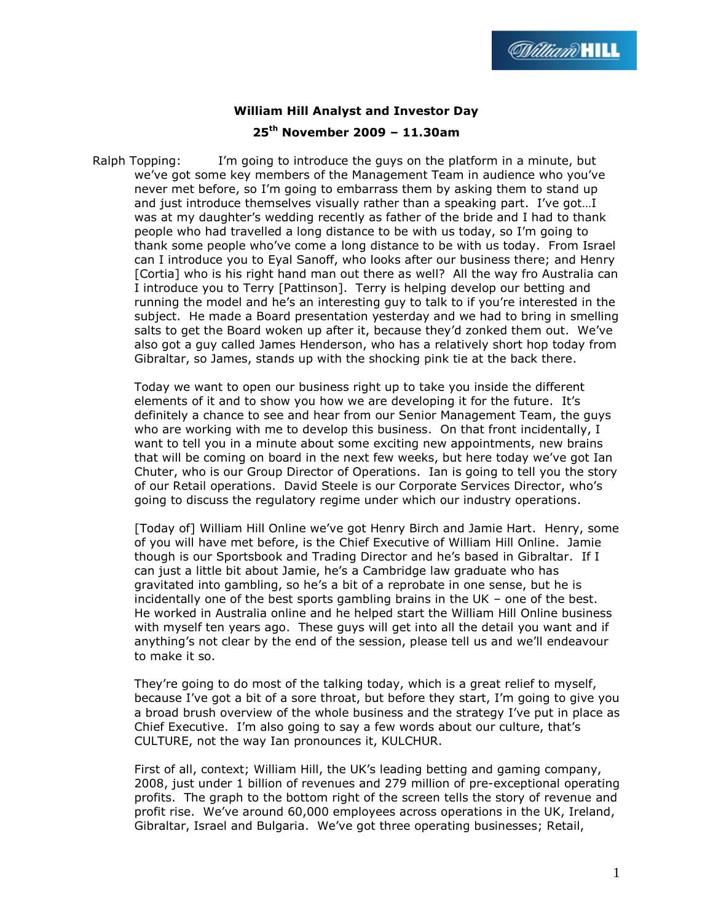

## **William Hill Analyst and Investor Day 25th November 2009 – 11.30am**

Ralph Topping: I"m going to introduce the guys on the platform in a minute, but we"ve got some key members of the Management Team in audience who you"ve never met before, so I"m going to embarrass them by asking them to stand up and just introduce themselves visually rather than a speaking part. I"ve got…I was at my daughter"s wedding recently as father of the bride and I had to thank people who had travelled a long distance to be with us today, so I"m going to thank some people who"ve come a long distance to be with us today. From Israel can I introduce you to Eyal Sanoff, who looks after our business there; and Henry [Cortia] who is his right hand man out there as well? All the way fro Australia can I introduce you to Terry [Pattinson]. Terry is helping develop our betting and running the model and he"s an interesting guy to talk to if you"re interested in the subject. He made a Board presentation yesterday and we had to bring in smelling salts to get the Board woken up after it, because they'd zonked them out. We've also got a guy called James Henderson, who has a relatively short hop today from Gibraltar, so James, stands up with the shocking pink tie at the back there.

Today we want to open our business right up to take you inside the different elements of it and to show you how we are developing it for the future. It"s definitely a chance to see and hear from our Senior Management Team, the guys who are working with me to develop this business. On that front incidentally, I want to tell you in a minute about some exciting new appointments, new brains that will be coming on board in the next few weeks, but here today we"ve got Ian Chuter, who is our Group Director of Operations. Ian is going to tell you the story of our Retail operations. David Steele is our Corporate Services Director, who"s going to discuss the regulatory regime under which our industry operations.

[Today of] William Hill Online we"ve got Henry Birch and Jamie Hart. Henry, some of you will have met before, is the Chief Executive of William Hill Online. Jamie though is our Sportsbook and Trading Director and he"s based in Gibraltar. If I can just a little bit about Jamie, he's a Cambridge law graduate who has gravitated into gambling, so he"s a bit of a reprobate in one sense, but he is incidentally one of the best sports gambling brains in the UK – one of the best. He worked in Australia online and he helped start the William Hill Online business with myself ten years ago. These guys will get into all the detail you want and if anything's not clear by the end of the session, please tell us and we'll endeavour to make it so.

They"re going to do most of the talking today, which is a great relief to myself, because I"ve got a bit of a sore throat, but before they start, I"m going to give you a broad brush overview of the whole business and the strategy I"ve put in place as Chief Executive. I"m also going to say a few words about our culture, that"s CULTURE, not the way Ian pronounces it, KULCHUR.

First of all, context; William Hill, the UK"s leading betting and gaming company, 2008, just under 1 billion of revenues and 279 million of pre-exceptional operating profits. The graph to the bottom right of the screen tells the story of revenue and profit rise. We've around 60,000 employees across operations in the UK, Ireland, Gibraltar, Israel and Bulgaria. We"ve got three operating businesses; Retail,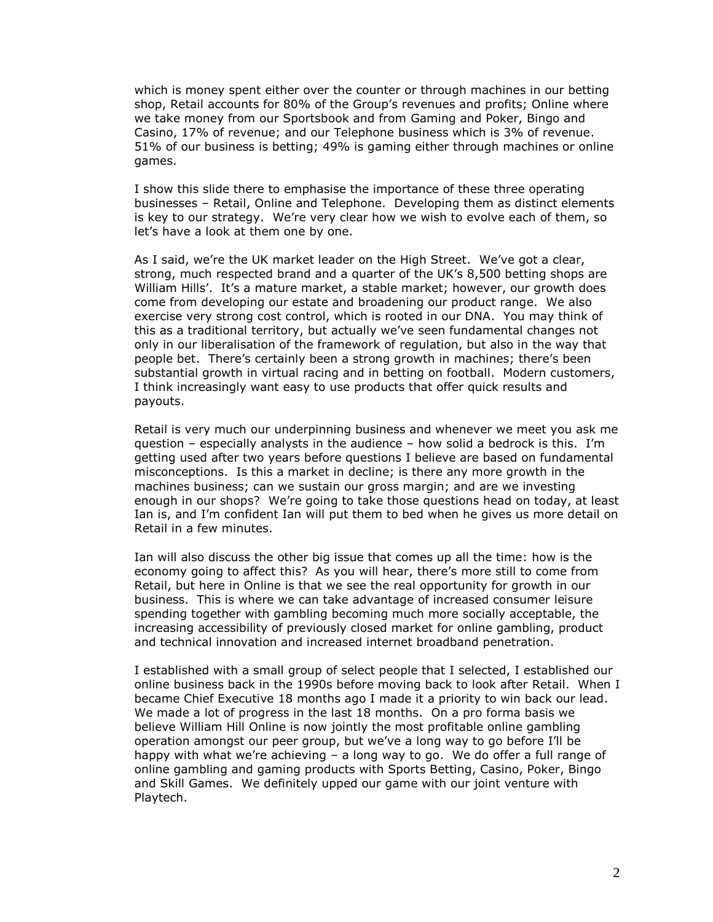which is money spent either over the counter or through machines in our betting shop, Retail accounts for 80% of the Group"s revenues and profits; Online where we take money from our Sportsbook and from Gaming and Poker, Bingo and Casino, 17% of revenue; and our Telephone business which is 3% of revenue. 51% of our business is betting; 49% is gaming either through machines or online games.

I show this slide there to emphasise the importance of these three operating businesses – Retail, Online and Telephone. Developing them as distinct elements is key to our strategy. We're very clear how we wish to evolve each of them, so let's have a look at them one by one.

As I said, we're the UK market leader on the High Street. We've got a clear, strong, much respected brand and a quarter of the UK"s 8,500 betting shops are William Hills'. It's a mature market, a stable market; however, our growth does come from developing our estate and broadening our product range. We also exercise very strong cost control, which is rooted in our DNA. You may think of this as a traditional territory, but actually we"ve seen fundamental changes not only in our liberalisation of the framework of regulation, but also in the way that people bet. There's certainly been a strong growth in machines; there's been substantial growth in virtual racing and in betting on football. Modern customers, I think increasingly want easy to use products that offer quick results and payouts.

Retail is very much our underpinning business and whenever we meet you ask me question – especially analysts in the audience – how solid a bedrock is this. I"m getting used after two years before questions I believe are based on fundamental misconceptions. Is this a market in decline; is there any more growth in the machines business; can we sustain our gross margin; and are we investing enough in our shops? We"re going to take those questions head on today, at least Ian is, and I"m confident Ian will put them to bed when he gives us more detail on Retail in a few minutes.

Ian will also discuss the other big issue that comes up all the time: how is the economy going to affect this? As you will hear, there"s more still to come from Retail, but here in Online is that we see the real opportunity for growth in our business. This is where we can take advantage of increased consumer leisure spending together with gambling becoming much more socially acceptable, the increasing accessibility of previously closed market for online gambling, product and technical innovation and increased internet broadband penetration.

I established with a small group of select people that I selected, I established our online business back in the 1990s before moving back to look after Retail. When I became Chief Executive 18 months ago I made it a priority to win back our lead. We made a lot of progress in the last 18 months. On a pro forma basis we believe William Hill Online is now jointly the most profitable online gambling operation amongst our peer group, but we"ve a long way to go before I"ll be happy with what we're achieving - a long way to go. We do offer a full range of online gambling and gaming products with Sports Betting, Casino, Poker, Bingo and Skill Games. We definitely upped our game with our joint venture with Playtech.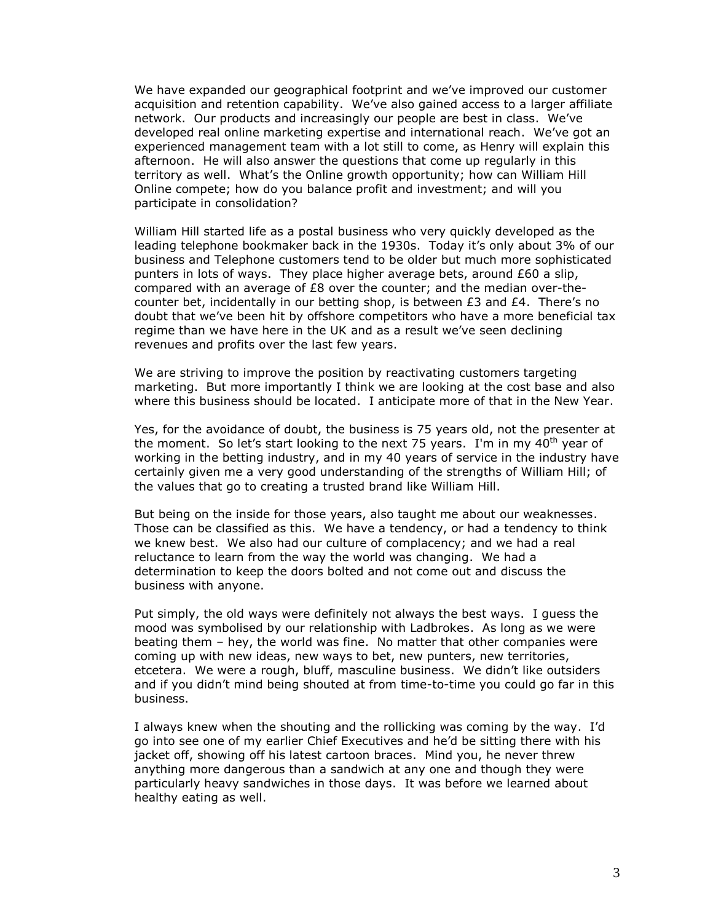We have expanded our geographical footprint and we've improved our customer acquisition and retention capability. We"ve also gained access to a larger affiliate network. Our products and increasingly our people are best in class. We"ve developed real online marketing expertise and international reach. We"ve got an experienced management team with a lot still to come, as Henry will explain this afternoon. He will also answer the questions that come up regularly in this territory as well. What"s the Online growth opportunity; how can William Hill Online compete; how do you balance profit and investment; and will you participate in consolidation?

William Hill started life as a postal business who very quickly developed as the leading telephone bookmaker back in the 1930s. Today it's only about 3% of our business and Telephone customers tend to be older but much more sophisticated punters in lots of ways. They place higher average bets, around £60 a slip, compared with an average of £8 over the counter; and the median over-thecounter bet, incidentally in our betting shop, is between  $E3$  and  $E4$ . There's no doubt that we"ve been hit by offshore competitors who have a more beneficial tax regime than we have here in the UK and as a result we"ve seen declining revenues and profits over the last few years.

We are striving to improve the position by reactivating customers targeting marketing. But more importantly I think we are looking at the cost base and also where this business should be located. I anticipate more of that in the New Year.

Yes, for the avoidance of doubt, the business is 75 years old, not the presenter at the moment. So let's start looking to the next 75 years. I'm in my  $40<sup>th</sup>$  year of working in the betting industry, and in my 40 years of service in the industry have certainly given me a very good understanding of the strengths of William Hill; of the values that go to creating a trusted brand like William Hill.

But being on the inside for those years, also taught me about our weaknesses. Those can be classified as this. We have a tendency, or had a tendency to think we knew best. We also had our culture of complacency; and we had a real reluctance to learn from the way the world was changing. We had a determination to keep the doors bolted and not come out and discuss the business with anyone.

Put simply, the old ways were definitely not always the best ways. I guess the mood was symbolised by our relationship with Ladbrokes. As long as we were beating them – hey, the world was fine. No matter that other companies were coming up with new ideas, new ways to bet, new punters, new territories, etcetera. We were a rough, bluff, masculine business. We didn"t like outsiders and if you didn't mind being shouted at from time-to-time you could go far in this business.

I always knew when the shouting and the rollicking was coming by the way. I"d go into see one of my earlier Chief Executives and he"d be sitting there with his jacket off, showing off his latest cartoon braces. Mind you, he never threw anything more dangerous than a sandwich at any one and though they were particularly heavy sandwiches in those days. It was before we learned about healthy eating as well.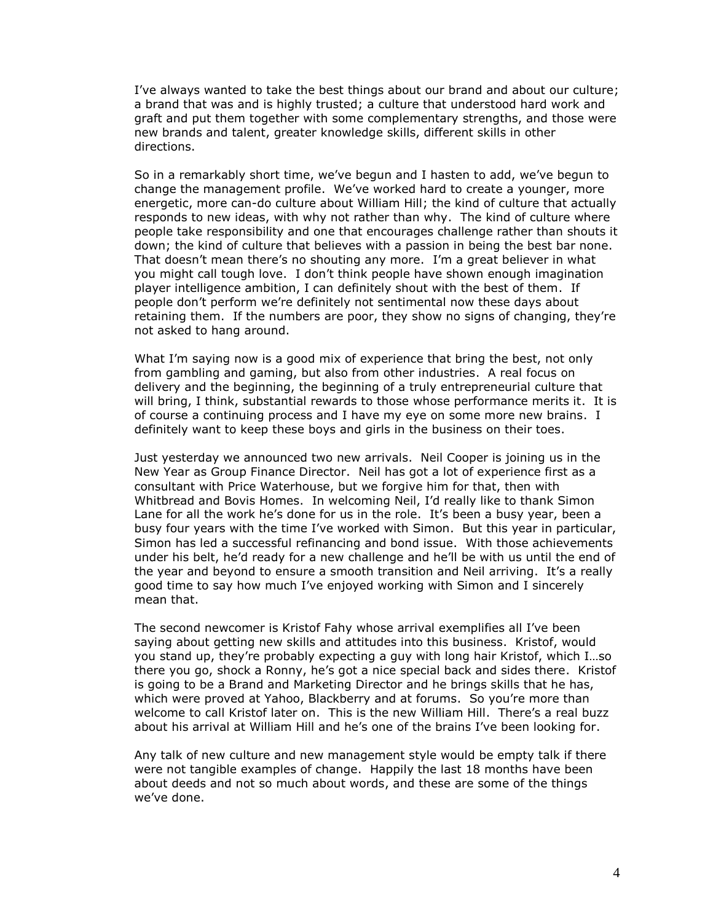I've always wanted to take the best things about our brand and about our culture; a brand that was and is highly trusted; a culture that understood hard work and graft and put them together with some complementary strengths, and those were new brands and talent, greater knowledge skills, different skills in other directions.

So in a remarkably short time, we"ve begun and I hasten to add, we"ve begun to change the management profile. We"ve worked hard to create a younger, more energetic, more can-do culture about William Hill; the kind of culture that actually responds to new ideas, with why not rather than why. The kind of culture where people take responsibility and one that encourages challenge rather than shouts it down; the kind of culture that believes with a passion in being the best bar none. That doesn't mean there's no shouting any more. I'm a great believer in what you might call tough love. I don"t think people have shown enough imagination player intelligence ambition, I can definitely shout with the best of them. If people don"t perform we"re definitely not sentimental now these days about retaining them. If the numbers are poor, they show no signs of changing, they"re not asked to hang around.

What I'm saying now is a good mix of experience that bring the best, not only from gambling and gaming, but also from other industries. A real focus on delivery and the beginning, the beginning of a truly entrepreneurial culture that will bring, I think, substantial rewards to those whose performance merits it. It is of course a continuing process and I have my eye on some more new brains. I definitely want to keep these boys and girls in the business on their toes.

Just yesterday we announced two new arrivals. Neil Cooper is joining us in the New Year as Group Finance Director. Neil has got a lot of experience first as a consultant with Price Waterhouse, but we forgive him for that, then with Whitbread and Bovis Homes. In welcoming Neil, I"d really like to thank Simon Lane for all the work he's done for us in the role. It's been a busy year, been a busy four years with the time I"ve worked with Simon. But this year in particular, Simon has led a successful refinancing and bond issue. With those achievements under his belt, he"d ready for a new challenge and he"ll be with us until the end of the year and beyond to ensure a smooth transition and Neil arriving. It's a really good time to say how much I"ve enjoyed working with Simon and I sincerely mean that.

The second newcomer is Kristof Fahy whose arrival exemplifies all I"ve been saying about getting new skills and attitudes into this business. Kristof, would you stand up, they"re probably expecting a guy with long hair Kristof, which I…so there you go, shock a Ronny, he's got a nice special back and sides there. Kristof is going to be a Brand and Marketing Director and he brings skills that he has, which were proved at Yahoo, Blackberry and at forums. So you"re more than welcome to call Kristof later on. This is the new William Hill. There's a real buzz about his arrival at William Hill and he's one of the brains I've been looking for.

Any talk of new culture and new management style would be empty talk if there were not tangible examples of change. Happily the last 18 months have been about deeds and not so much about words, and these are some of the things we've done.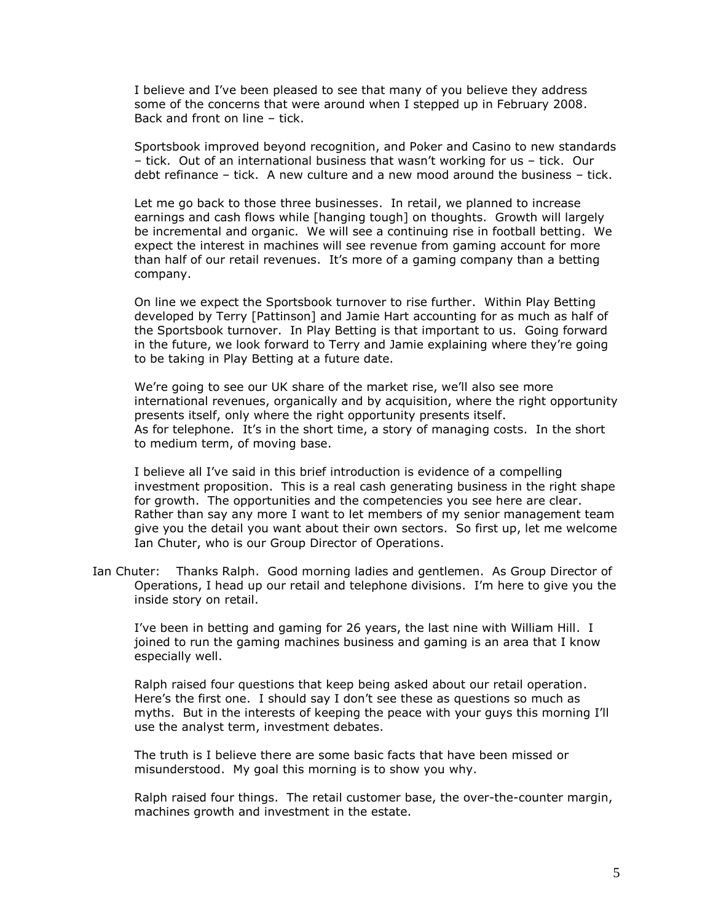I believe and I've been pleased to see that many of you believe they address some of the concerns that were around when I stepped up in February 2008. Back and front on line – tick.

Sportsbook improved beyond recognition, and Poker and Casino to new standards – tick. Out of an international business that wasn"t working for us – tick. Our debt refinance – tick. A new culture and a new mood around the business – tick.

Let me go back to those three businesses. In retail, we planned to increase earnings and cash flows while [hanging tough] on thoughts. Growth will largely be incremental and organic. We will see a continuing rise in football betting. We expect the interest in machines will see revenue from gaming account for more than half of our retail revenues. It"s more of a gaming company than a betting company.

On line we expect the Sportsbook turnover to rise further. Within Play Betting developed by Terry [Pattinson] and Jamie Hart accounting for as much as half of the Sportsbook turnover. In Play Betting is that important to us. Going forward in the future, we look forward to Terry and Jamie explaining where they"re going to be taking in Play Betting at a future date.

We're going to see our UK share of the market rise, we'll also see more international revenues, organically and by acquisition, where the right opportunity presents itself, only where the right opportunity presents itself. As for telephone. It's in the short time, a story of managing costs. In the short to medium term, of moving base.

I believe all I"ve said in this brief introduction is evidence of a compelling investment proposition. This is a real cash generating business in the right shape for growth. The opportunities and the competencies you see here are clear. Rather than say any more I want to let members of my senior management team give you the detail you want about their own sectors. So first up, let me welcome Ian Chuter, who is our Group Director of Operations.

Ian Chuter: Thanks Ralph. Good morning ladies and gentlemen. As Group Director of Operations, I head up our retail and telephone divisions. I"m here to give you the inside story on retail.

I've been in betting and gaming for 26 years, the last nine with William Hill. I joined to run the gaming machines business and gaming is an area that I know especially well.

Ralph raised four questions that keep being asked about our retail operation. Here's the first one. I should say I don't see these as questions so much as myths. But in the interests of keeping the peace with your guys this morning I"ll use the analyst term, investment debates.

The truth is I believe there are some basic facts that have been missed or misunderstood. My goal this morning is to show you why.

Ralph raised four things. The retail customer base, the over-the-counter margin, machines growth and investment in the estate.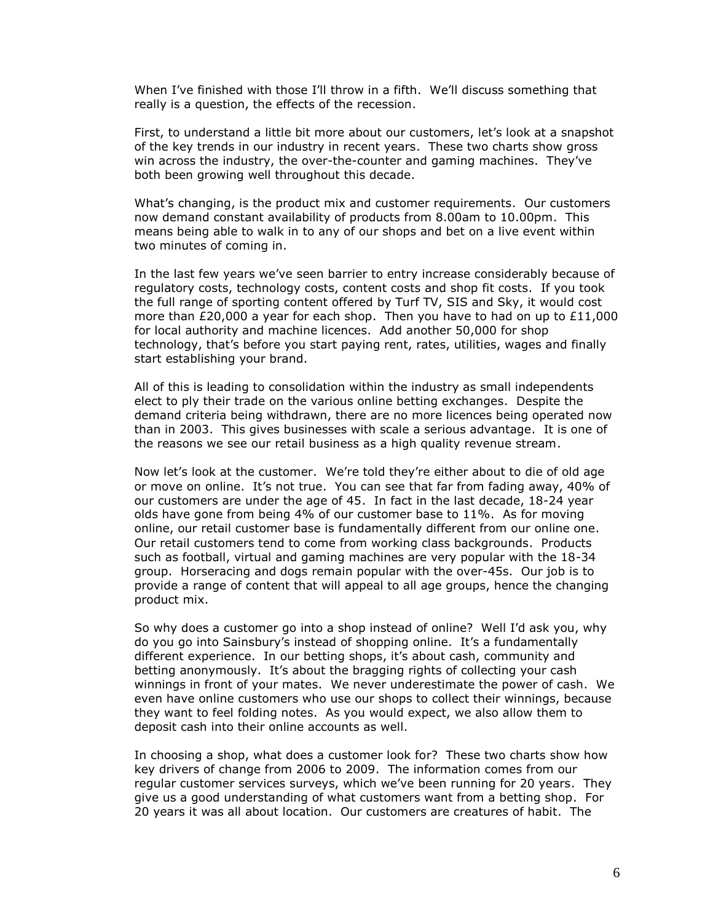When I've finished with those I'll throw in a fifth. We'll discuss something that really is a question, the effects of the recession.

First, to understand a little bit more about our customers, let"s look at a snapshot of the key trends in our industry in recent years. These two charts show gross win across the industry, the over-the-counter and gaming machines. They"ve both been growing well throughout this decade.

What's changing, is the product mix and customer requirements. Our customers now demand constant availability of products from 8.00am to 10.00pm. This means being able to walk in to any of our shops and bet on a live event within two minutes of coming in.

In the last few years we"ve seen barrier to entry increase considerably because of regulatory costs, technology costs, content costs and shop fit costs. If you took the full range of sporting content offered by Turf TV, SIS and Sky, it would cost more than £20,000 a year for each shop. Then you have to had on up to  $£11,000$ for local authority and machine licences. Add another 50,000 for shop technology, that's before you start paying rent, rates, utilities, wages and finally start establishing your brand.

All of this is leading to consolidation within the industry as small independents elect to ply their trade on the various online betting exchanges. Despite the demand criteria being withdrawn, there are no more licences being operated now than in 2003. This gives businesses with scale a serious advantage. It is one of the reasons we see our retail business as a high quality revenue stream.

Now let"s look at the customer. We"re told they"re either about to die of old age or move on online. It's not true. You can see that far from fading away, 40% of our customers are under the age of 45. In fact in the last decade, 18-24 year olds have gone from being 4% of our customer base to 11%. As for moving online, our retail customer base is fundamentally different from our online one. Our retail customers tend to come from working class backgrounds. Products such as football, virtual and gaming machines are very popular with the 18-34 group. Horseracing and dogs remain popular with the over-45s. Our job is to provide a range of content that will appeal to all age groups, hence the changing product mix.

So why does a customer go into a shop instead of online? Well I"d ask you, why do you go into Sainsbury"s instead of shopping online. It"s a fundamentally different experience. In our betting shops, it's about cash, community and betting anonymously. It's about the bragging rights of collecting your cash winnings in front of your mates. We never underestimate the power of cash. We even have online customers who use our shops to collect their winnings, because they want to feel folding notes. As you would expect, we also allow them to deposit cash into their online accounts as well.

In choosing a shop, what does a customer look for? These two charts show how key drivers of change from 2006 to 2009. The information comes from our regular customer services surveys, which we've been running for 20 years. They give us a good understanding of what customers want from a betting shop. For 20 years it was all about location. Our customers are creatures of habit. The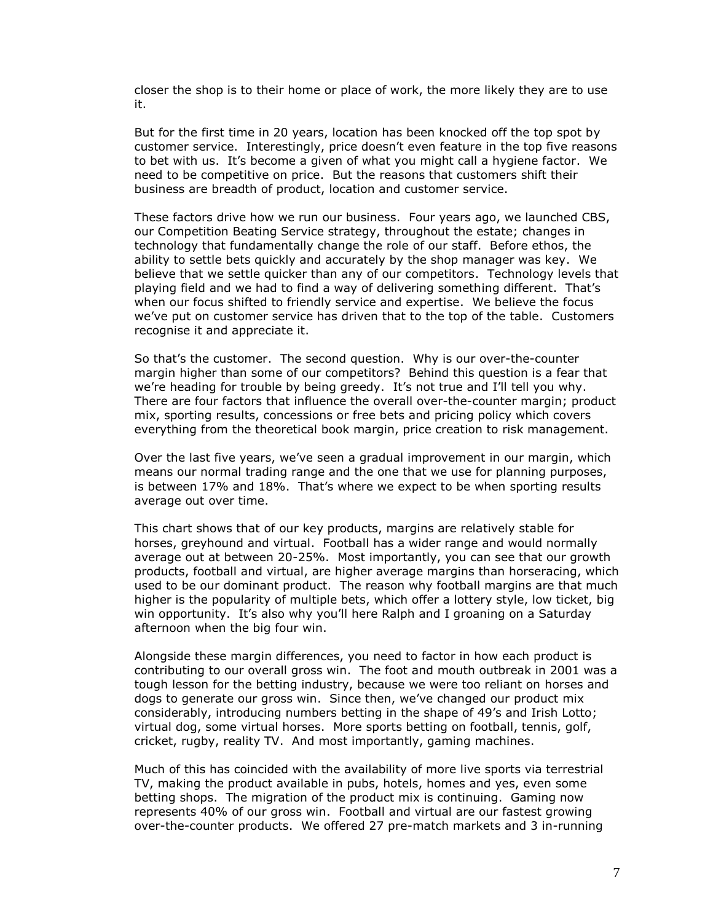closer the shop is to their home or place of work, the more likely they are to use it.

But for the first time in 20 years, location has been knocked off the top spot by customer service. Interestingly, price doesn"t even feature in the top five reasons to bet with us. It"s become a given of what you might call a hygiene factor. We need to be competitive on price. But the reasons that customers shift their business are breadth of product, location and customer service.

These factors drive how we run our business. Four years ago, we launched CBS, our Competition Beating Service strategy, throughout the estate; changes in technology that fundamentally change the role of our staff. Before ethos, the ability to settle bets quickly and accurately by the shop manager was key. We believe that we settle quicker than any of our competitors. Technology levels that playing field and we had to find a way of delivering something different. That"s when our focus shifted to friendly service and expertise. We believe the focus we"ve put on customer service has driven that to the top of the table. Customers recognise it and appreciate it.

So that"s the customer. The second question. Why is our over-the-counter margin higher than some of our competitors? Behind this question is a fear that we're heading for trouble by being greedy. It's not true and I'll tell you why. There are four factors that influence the overall over-the-counter margin; product mix, sporting results, concessions or free bets and pricing policy which covers everything from the theoretical book margin, price creation to risk management.

Over the last five years, we"ve seen a gradual improvement in our margin, which means our normal trading range and the one that we use for planning purposes, is between 17% and 18%. That's where we expect to be when sporting results average out over time.

This chart shows that of our key products, margins are relatively stable for horses, greyhound and virtual. Football has a wider range and would normally average out at between 20-25%. Most importantly, you can see that our growth products, football and virtual, are higher average margins than horseracing, which used to be our dominant product. The reason why football margins are that much higher is the popularity of multiple bets, which offer a lottery style, low ticket, big win opportunity. It's also why you'll here Ralph and I groaning on a Saturday afternoon when the big four win.

Alongside these margin differences, you need to factor in how each product is contributing to our overall gross win. The foot and mouth outbreak in 2001 was a tough lesson for the betting industry, because we were too reliant on horses and dogs to generate our gross win. Since then, we"ve changed our product mix considerably, introducing numbers betting in the shape of 49"s and Irish Lotto; virtual dog, some virtual horses. More sports betting on football, tennis, golf, cricket, rugby, reality TV. And most importantly, gaming machines.

Much of this has coincided with the availability of more live sports via terrestrial TV, making the product available in pubs, hotels, homes and yes, even some betting shops. The migration of the product mix is continuing. Gaming now represents 40% of our gross win. Football and virtual are our fastest growing over-the-counter products. We offered 27 pre-match markets and 3 in-running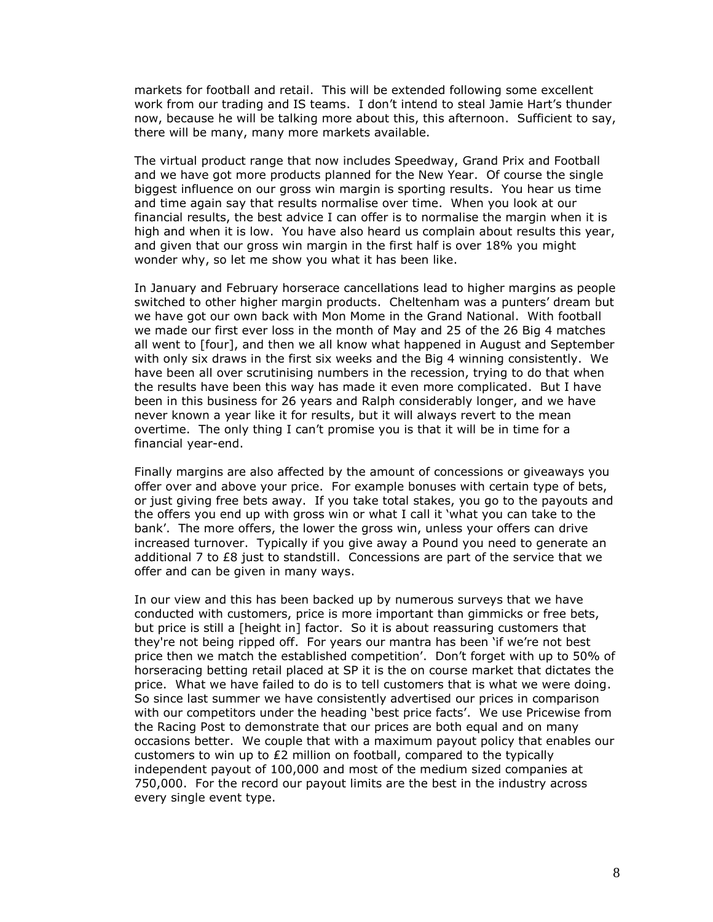markets for football and retail. This will be extended following some excellent work from our trading and IS teams. I don"t intend to steal Jamie Hart"s thunder now, because he will be talking more about this, this afternoon. Sufficient to say, there will be many, many more markets available.

The virtual product range that now includes Speedway, Grand Prix and Football and we have got more products planned for the New Year. Of course the single biggest influence on our gross win margin is sporting results. You hear us time and time again say that results normalise over time. When you look at our financial results, the best advice I can offer is to normalise the margin when it is high and when it is low. You have also heard us complain about results this year, and given that our gross win margin in the first half is over 18% you might wonder why, so let me show you what it has been like.

In January and February horserace cancellations lead to higher margins as people switched to other higher margin products. Cheltenham was a punters' dream but we have got our own back with Mon Mome in the Grand National. With football we made our first ever loss in the month of May and 25 of the 26 Big 4 matches all went to [four], and then we all know what happened in August and September with only six draws in the first six weeks and the Big 4 winning consistently. We have been all over scrutinising numbers in the recession, trying to do that when the results have been this way has made it even more complicated. But I have been in this business for 26 years and Ralph considerably longer, and we have never known a year like it for results, but it will always revert to the mean overtime. The only thing I can't promise you is that it will be in time for a financial year-end.

Finally margins are also affected by the amount of concessions or giveaways you offer over and above your price. For example bonuses with certain type of bets, or just giving free bets away. If you take total stakes, you go to the payouts and the offers you end up with gross win or what I call it "what you can take to the bank". The more offers, the lower the gross win, unless your offers can drive increased turnover. Typically if you give away a Pound you need to generate an additional 7 to £8 just to standstill. Concessions are part of the service that we offer and can be given in many ways.

In our view and this has been backed up by numerous surveys that we have conducted with customers, price is more important than gimmicks or free bets, but price is still a [height in] factor. So it is about reassuring customers that they're not being ripped off. For years our mantra has been "if we"re not best price then we match the established competition". Don"t forget with up to 50% of horseracing betting retail placed at SP it is the on course market that dictates the price. What we have failed to do is to tell customers that is what we were doing. So since last summer we have consistently advertised our prices in comparison with our competitors under the heading "best price facts". We use Pricewise from the Racing Post to demonstrate that our prices are both equal and on many occasions better. We couple that with a maximum payout policy that enables our customers to win up to ₤2 million on football, compared to the typically independent payout of 100,000 and most of the medium sized companies at 750,000. For the record our payout limits are the best in the industry across every single event type.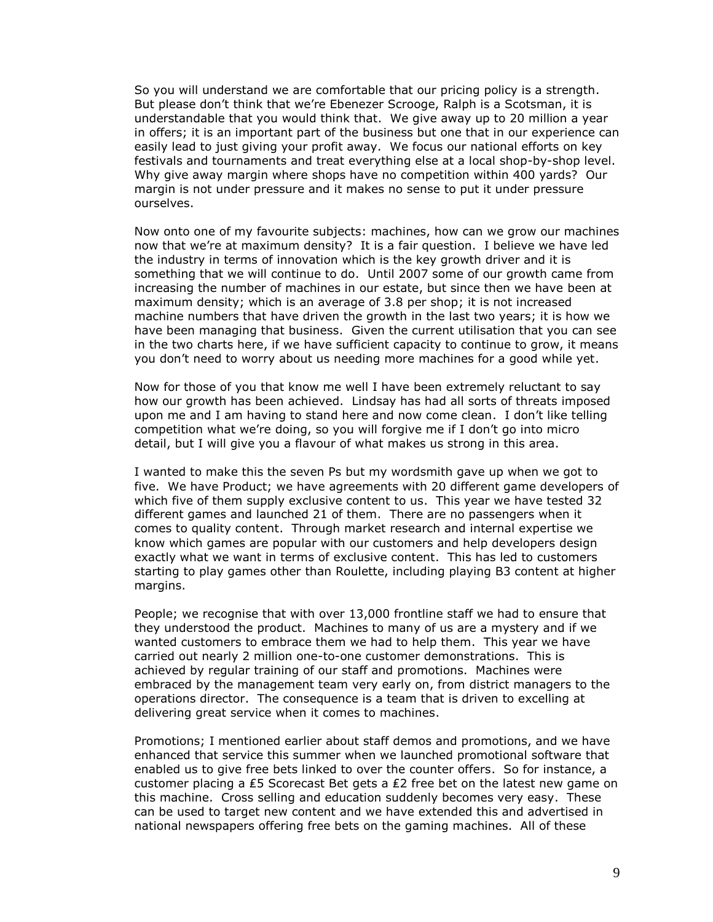So you will understand we are comfortable that our pricing policy is a strength. But please don"t think that we"re Ebenezer Scrooge, Ralph is a Scotsman, it is understandable that you would think that. We give away up to 20 million a year in offers; it is an important part of the business but one that in our experience can easily lead to just giving your profit away. We focus our national efforts on key festivals and tournaments and treat everything else at a local shop-by-shop level. Why give away margin where shops have no competition within 400 yards? Our margin is not under pressure and it makes no sense to put it under pressure ourselves.

Now onto one of my favourite subjects: machines, how can we grow our machines now that we"re at maximum density? It is a fair question. I believe we have led the industry in terms of innovation which is the key growth driver and it is something that we will continue to do. Until 2007 some of our growth came from increasing the number of machines in our estate, but since then we have been at maximum density; which is an average of 3.8 per shop; it is not increased machine numbers that have driven the growth in the last two years; it is how we have been managing that business. Given the current utilisation that you can see in the two charts here, if we have sufficient capacity to continue to grow, it means you don"t need to worry about us needing more machines for a good while yet.

Now for those of you that know me well I have been extremely reluctant to say how our growth has been achieved. Lindsay has had all sorts of threats imposed upon me and I am having to stand here and now come clean. I don"t like telling competition what we"re doing, so you will forgive me if I don"t go into micro detail, but I will give you a flavour of what makes us strong in this area.

I wanted to make this the seven Ps but my wordsmith gave up when we got to five. We have Product; we have agreements with 20 different game developers of which five of them supply exclusive content to us. This year we have tested 32 different games and launched 21 of them. There are no passengers when it comes to quality content. Through market research and internal expertise we know which games are popular with our customers and help developers design exactly what we want in terms of exclusive content. This has led to customers starting to play games other than Roulette, including playing B3 content at higher margins.

People; we recognise that with over 13,000 frontline staff we had to ensure that they understood the product. Machines to many of us are a mystery and if we wanted customers to embrace them we had to help them. This year we have carried out nearly 2 million one-to-one customer demonstrations. This is achieved by regular training of our staff and promotions. Machines were embraced by the management team very early on, from district managers to the operations director. The consequence is a team that is driven to excelling at delivering great service when it comes to machines.

Promotions; I mentioned earlier about staff demos and promotions, and we have enhanced that service this summer when we launched promotional software that enabled us to give free bets linked to over the counter offers. So for instance, a customer placing a ₤5 Scorecast Bet gets a ₤2 free bet on the latest new game on this machine. Cross selling and education suddenly becomes very easy. These can be used to target new content and we have extended this and advertised in national newspapers offering free bets on the gaming machines. All of these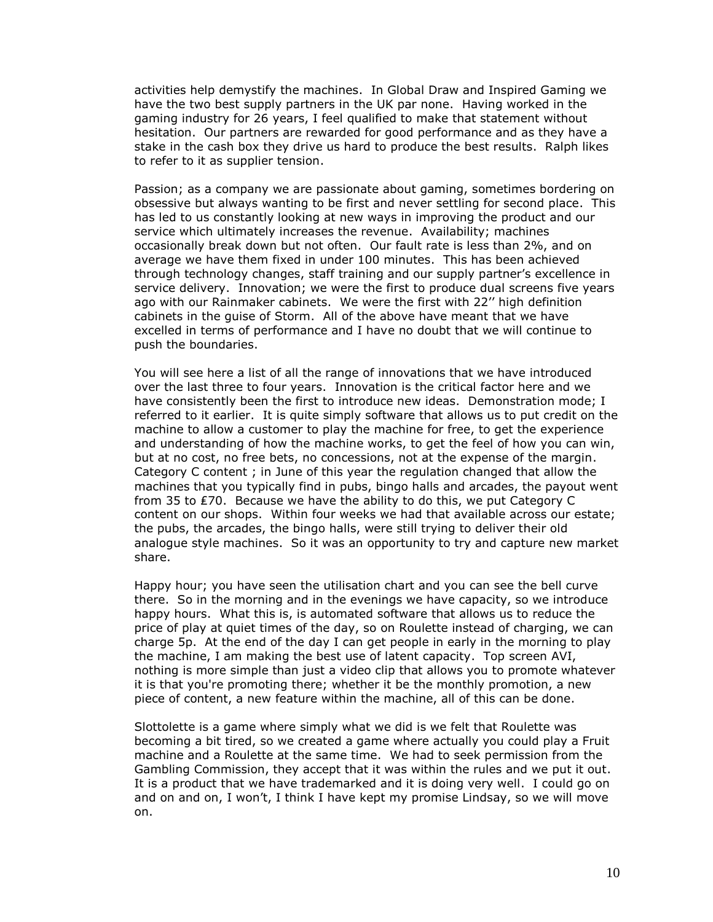activities help demystify the machines. In Global Draw and Inspired Gaming we have the two best supply partners in the UK par none. Having worked in the gaming industry for 26 years, I feel qualified to make that statement without hesitation. Our partners are rewarded for good performance and as they have a stake in the cash box they drive us hard to produce the best results. Ralph likes to refer to it as supplier tension.

Passion; as a company we are passionate about gaming, sometimes bordering on obsessive but always wanting to be first and never settling for second place. This has led to us constantly looking at new ways in improving the product and our service which ultimately increases the revenue. Availability; machines occasionally break down but not often. Our fault rate is less than 2%, and on average we have them fixed in under 100 minutes. This has been achieved through technology changes, staff training and our supply partner"s excellence in service delivery. Innovation; we were the first to produce dual screens five years ago with our Rainmaker cabinets. We were the first with 22" high definition cabinets in the guise of Storm. All of the above have meant that we have excelled in terms of performance and I have no doubt that we will continue to push the boundaries.

You will see here a list of all the range of innovations that we have introduced over the last three to four years. Innovation is the critical factor here and we have consistently been the first to introduce new ideas. Demonstration mode; I referred to it earlier. It is quite simply software that allows us to put credit on the machine to allow a customer to play the machine for free, to get the experience and understanding of how the machine works, to get the feel of how you can win, but at no cost, no free bets, no concessions, not at the expense of the margin. Category C content ; in June of this year the regulation changed that allow the machines that you typically find in pubs, bingo halls and arcades, the payout went from 35 to ₤70. Because we have the ability to do this, we put Category C content on our shops. Within four weeks we had that available across our estate; the pubs, the arcades, the bingo halls, were still trying to deliver their old analogue style machines. So it was an opportunity to try and capture new market share.

Happy hour; you have seen the utilisation chart and you can see the bell curve there. So in the morning and in the evenings we have capacity, so we introduce happy hours. What this is, is automated software that allows us to reduce the price of play at quiet times of the day, so on Roulette instead of charging, we can charge 5p. At the end of the day I can get people in early in the morning to play the machine, I am making the best use of latent capacity. Top screen AVI, nothing is more simple than just a video clip that allows you to promote whatever it is that you're promoting there; whether it be the monthly promotion, a new piece of content, a new feature within the machine, all of this can be done.

Slottolette is a game where simply what we did is we felt that Roulette was becoming a bit tired, so we created a game where actually you could play a Fruit machine and a Roulette at the same time. We had to seek permission from the Gambling Commission, they accept that it was within the rules and we put it out. It is a product that we have trademarked and it is doing very well. I could go on and on and on, I won"t, I think I have kept my promise Lindsay, so we will move on.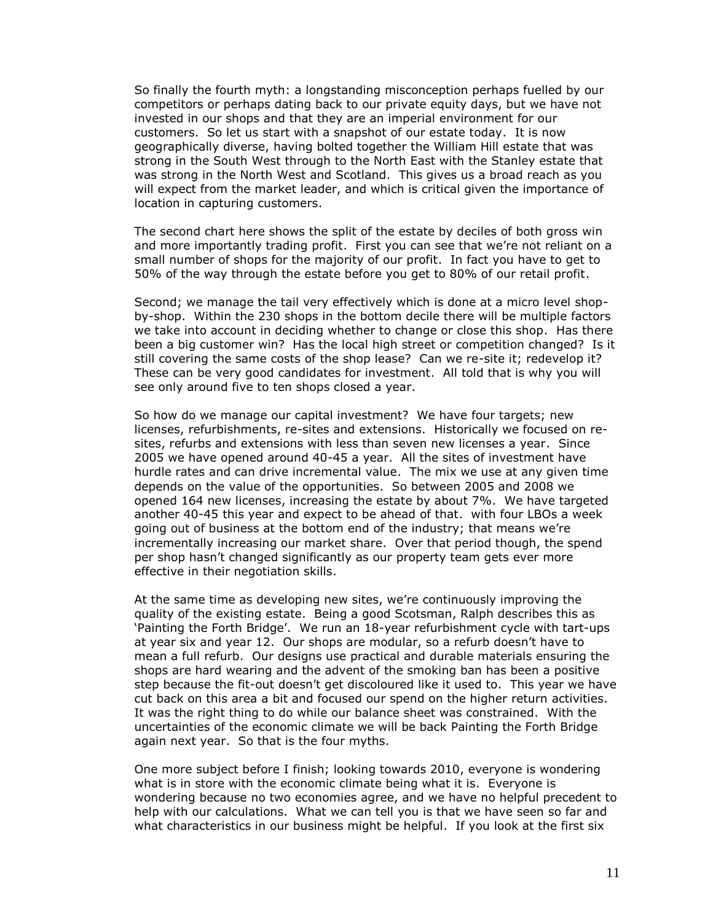So finally the fourth myth: a longstanding misconception perhaps fuelled by our competitors or perhaps dating back to our private equity days, but we have not invested in our shops and that they are an imperial environment for our customers. So let us start with a snapshot of our estate today. It is now geographically diverse, having bolted together the William Hill estate that was strong in the South West through to the North East with the Stanley estate that was strong in the North West and Scotland. This gives us a broad reach as you will expect from the market leader, and which is critical given the importance of location in capturing customers.

The second chart here shows the split of the estate by deciles of both gross win and more importantly trading profit. First you can see that we're not reliant on a small number of shops for the majority of our profit. In fact you have to get to 50% of the way through the estate before you get to 80% of our retail profit.

Second; we manage the tail very effectively which is done at a micro level shopby-shop. Within the 230 shops in the bottom decile there will be multiple factors we take into account in deciding whether to change or close this shop. Has there been a big customer win? Has the local high street or competition changed? Is it still covering the same costs of the shop lease? Can we re-site it; redevelop it? These can be very good candidates for investment. All told that is why you will see only around five to ten shops closed a year.

So how do we manage our capital investment? We have four targets; new licenses, refurbishments, re-sites and extensions. Historically we focused on resites, refurbs and extensions with less than seven new licenses a year. Since 2005 we have opened around 40-45 a year. All the sites of investment have hurdle rates and can drive incremental value. The mix we use at any given time depends on the value of the opportunities. So between 2005 and 2008 we opened 164 new licenses, increasing the estate by about 7%. We have targeted another 40-45 this year and expect to be ahead of that. with four LBOs a week going out of business at the bottom end of the industry; that means we"re incrementally increasing our market share. Over that period though, the spend per shop hasn't changed significantly as our property team gets ever more effective in their negotiation skills.

At the same time as developing new sites, we"re continuously improving the quality of the existing estate. Being a good Scotsman, Ralph describes this as 'Painting the Forth Bridge'. We run an 18-year refurbishment cycle with tart-ups at year six and year 12. Our shops are modular, so a refurb doesn"t have to mean a full refurb. Our designs use practical and durable materials ensuring the shops are hard wearing and the advent of the smoking ban has been a positive step because the fit-out doesn"t get discoloured like it used to. This year we have cut back on this area a bit and focused our spend on the higher return activities. It was the right thing to do while our balance sheet was constrained. With the uncertainties of the economic climate we will be back Painting the Forth Bridge again next year. So that is the four myths.

One more subject before I finish; looking towards 2010, everyone is wondering what is in store with the economic climate being what it is. Everyone is wondering because no two economies agree, and we have no helpful precedent to help with our calculations. What we can tell you is that we have seen so far and what characteristics in our business might be helpful. If you look at the first six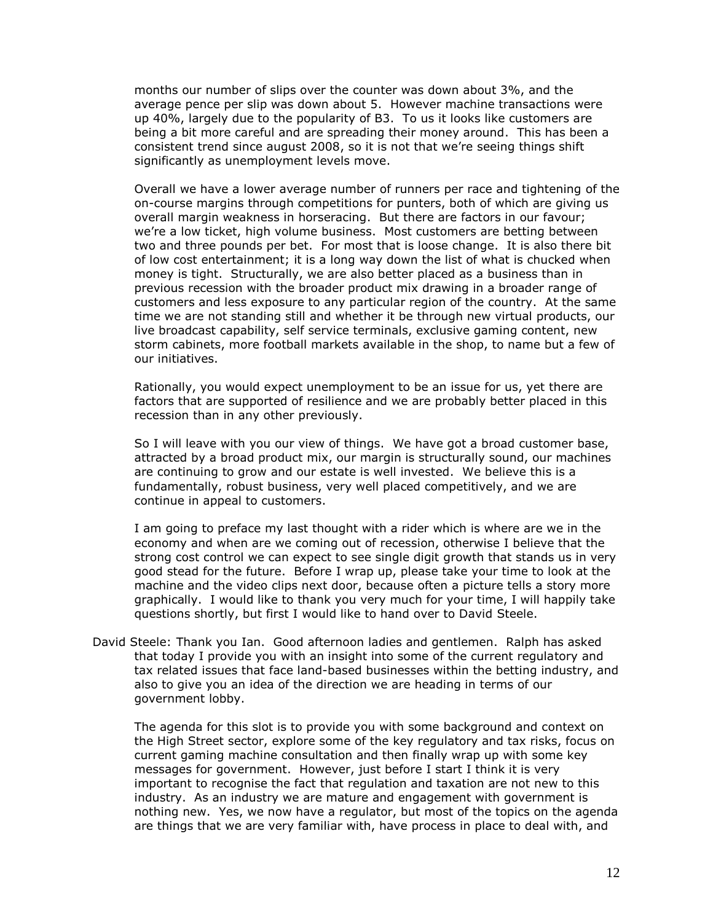months our number of slips over the counter was down about 3%, and the average pence per slip was down about 5. However machine transactions were up 40%, largely due to the popularity of B3. To us it looks like customers are being a bit more careful and are spreading their money around. This has been a consistent trend since august 2008, so it is not that we"re seeing things shift significantly as unemployment levels move.

Overall we have a lower average number of runners per race and tightening of the on-course margins through competitions for punters, both of which are giving us overall margin weakness in horseracing. But there are factors in our favour; we"re a low ticket, high volume business. Most customers are betting between two and three pounds per bet. For most that is loose change. It is also there bit of low cost entertainment; it is a long way down the list of what is chucked when money is tight. Structurally, we are also better placed as a business than in previous recession with the broader product mix drawing in a broader range of customers and less exposure to any particular region of the country. At the same time we are not standing still and whether it be through new virtual products, our live broadcast capability, self service terminals, exclusive gaming content, new storm cabinets, more football markets available in the shop, to name but a few of our initiatives.

Rationally, you would expect unemployment to be an issue for us, yet there are factors that are supported of resilience and we are probably better placed in this recession than in any other previously.

So I will leave with you our view of things. We have got a broad customer base, attracted by a broad product mix, our margin is structurally sound, our machines are continuing to grow and our estate is well invested. We believe this is a fundamentally, robust business, very well placed competitively, and we are continue in appeal to customers.

I am going to preface my last thought with a rider which is where are we in the economy and when are we coming out of recession, otherwise I believe that the strong cost control we can expect to see single digit growth that stands us in very good stead for the future. Before I wrap up, please take your time to look at the machine and the video clips next door, because often a picture tells a story more graphically. I would like to thank you very much for your time, I will happily take questions shortly, but first I would like to hand over to David Steele.

David Steele: Thank you Ian. Good afternoon ladies and gentlemen. Ralph has asked that today I provide you with an insight into some of the current regulatory and tax related issues that face land-based businesses within the betting industry, and also to give you an idea of the direction we are heading in terms of our government lobby.

The agenda for this slot is to provide you with some background and context on the High Street sector, explore some of the key regulatory and tax risks, focus on current gaming machine consultation and then finally wrap up with some key messages for government. However, just before I start I think it is very important to recognise the fact that regulation and taxation are not new to this industry. As an industry we are mature and engagement with government is nothing new. Yes, we now have a regulator, but most of the topics on the agenda are things that we are very familiar with, have process in place to deal with, and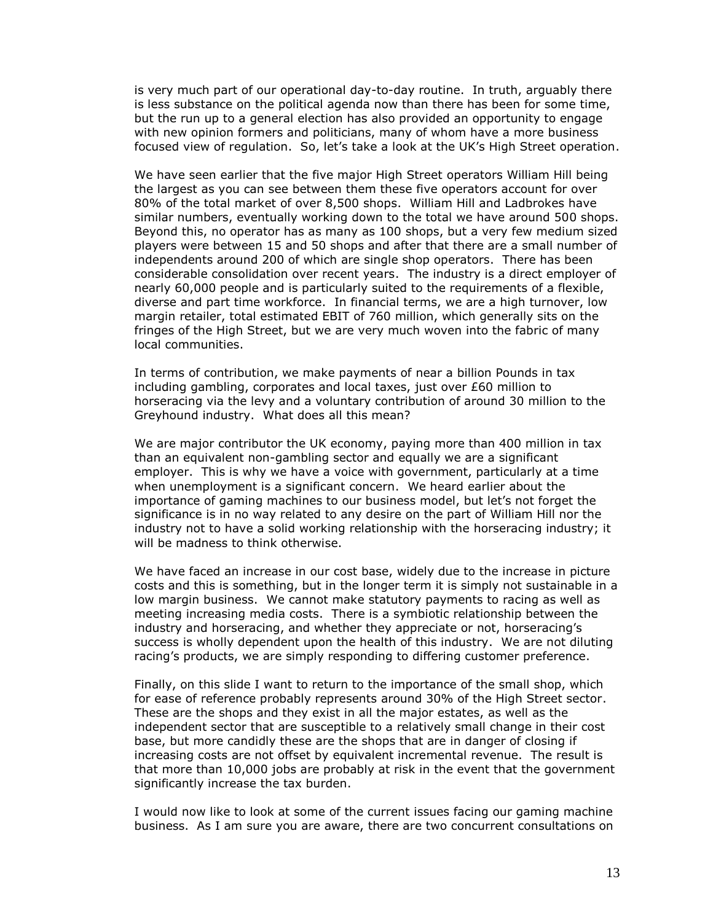is very much part of our operational day-to-day routine. In truth, arguably there is less substance on the political agenda now than there has been for some time, but the run up to a general election has also provided an opportunity to engage with new opinion formers and politicians, many of whom have a more business focused view of regulation. So, let's take a look at the UK's High Street operation.

We have seen earlier that the five major High Street operators William Hill being the largest as you can see between them these five operators account for over 80% of the total market of over 8,500 shops. William Hill and Ladbrokes have similar numbers, eventually working down to the total we have around 500 shops. Beyond this, no operator has as many as 100 shops, but a very few medium sized players were between 15 and 50 shops and after that there are a small number of independents around 200 of which are single shop operators. There has been considerable consolidation over recent years. The industry is a direct employer of nearly 60,000 people and is particularly suited to the requirements of a flexible, diverse and part time workforce. In financial terms, we are a high turnover, low margin retailer, total estimated EBIT of 760 million, which generally sits on the fringes of the High Street, but we are very much woven into the fabric of many local communities.

In terms of contribution, we make payments of near a billion Pounds in tax including gambling, corporates and local taxes, just over £60 million to horseracing via the levy and a voluntary contribution of around 30 million to the Greyhound industry. What does all this mean?

We are major contributor the UK economy, paying more than 400 million in tax than an equivalent non-gambling sector and equally we are a significant employer. This is why we have a voice with government, particularly at a time when unemployment is a significant concern. We heard earlier about the importance of gaming machines to our business model, but let"s not forget the significance is in no way related to any desire on the part of William Hill nor the industry not to have a solid working relationship with the horseracing industry; it will be madness to think otherwise.

We have faced an increase in our cost base, widely due to the increase in picture costs and this is something, but in the longer term it is simply not sustainable in a low margin business. We cannot make statutory payments to racing as well as meeting increasing media costs. There is a symbiotic relationship between the industry and horseracing, and whether they appreciate or not, horseracing"s success is wholly dependent upon the health of this industry. We are not diluting racing"s products, we are simply responding to differing customer preference.

Finally, on this slide I want to return to the importance of the small shop, which for ease of reference probably represents around 30% of the High Street sector. These are the shops and they exist in all the major estates, as well as the independent sector that are susceptible to a relatively small change in their cost base, but more candidly these are the shops that are in danger of closing if increasing costs are not offset by equivalent incremental revenue. The result is that more than 10,000 jobs are probably at risk in the event that the government significantly increase the tax burden.

I would now like to look at some of the current issues facing our gaming machine business. As I am sure you are aware, there are two concurrent consultations on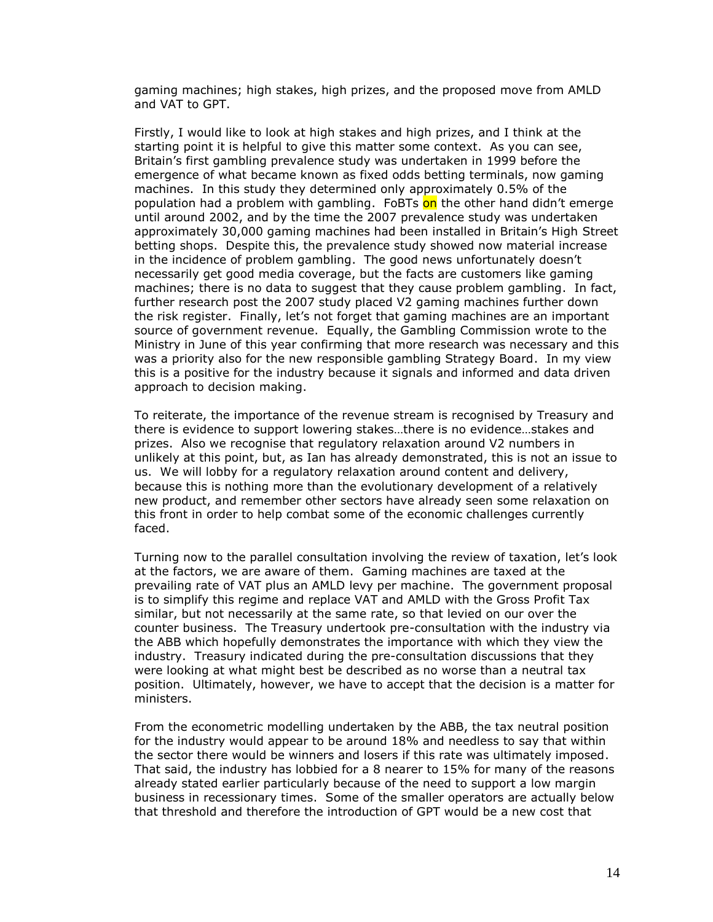gaming machines; high stakes, high prizes, and the proposed move from AMLD and VAT to GPT.

Firstly, I would like to look at high stakes and high prizes, and I think at the starting point it is helpful to give this matter some context. As you can see, Britain"s first gambling prevalence study was undertaken in 1999 before the emergence of what became known as fixed odds betting terminals, now gaming machines. In this study they determined only approximately 0.5% of the population had a problem with gambling. FoBTs on the other hand didn't emerge until around 2002, and by the time the 2007 prevalence study was undertaken approximately 30,000 gaming machines had been installed in Britain"s High Street betting shops. Despite this, the prevalence study showed now material increase in the incidence of problem gambling. The good news unfortunately doesn"t necessarily get good media coverage, but the facts are customers like gaming machines; there is no data to suggest that they cause problem gambling. In fact, further research post the 2007 study placed V2 gaming machines further down the risk register. Finally, let"s not forget that gaming machines are an important source of government revenue. Equally, the Gambling Commission wrote to the Ministry in June of this year confirming that more research was necessary and this was a priority also for the new responsible gambling Strategy Board. In my view this is a positive for the industry because it signals and informed and data driven approach to decision making.

To reiterate, the importance of the revenue stream is recognised by Treasury and there is evidence to support lowering stakes…there is no evidence…stakes and prizes. Also we recognise that regulatory relaxation around V2 numbers in unlikely at this point, but, as Ian has already demonstrated, this is not an issue to us. We will lobby for a regulatory relaxation around content and delivery, because this is nothing more than the evolutionary development of a relatively new product, and remember other sectors have already seen some relaxation on this front in order to help combat some of the economic challenges currently faced.

Turning now to the parallel consultation involving the review of taxation, let's look at the factors, we are aware of them. Gaming machines are taxed at the prevailing rate of VAT plus an AMLD levy per machine. The government proposal is to simplify this regime and replace VAT and AMLD with the Gross Profit Tax similar, but not necessarily at the same rate, so that levied on our over the counter business. The Treasury undertook pre-consultation with the industry via the ABB which hopefully demonstrates the importance with which they view the industry. Treasury indicated during the pre-consultation discussions that they were looking at what might best be described as no worse than a neutral tax position. Ultimately, however, we have to accept that the decision is a matter for ministers.

From the econometric modelling undertaken by the ABB, the tax neutral position for the industry would appear to be around 18% and needless to say that within the sector there would be winners and losers if this rate was ultimately imposed. That said, the industry has lobbied for a 8 nearer to 15% for many of the reasons already stated earlier particularly because of the need to support a low margin business in recessionary times. Some of the smaller operators are actually below that threshold and therefore the introduction of GPT would be a new cost that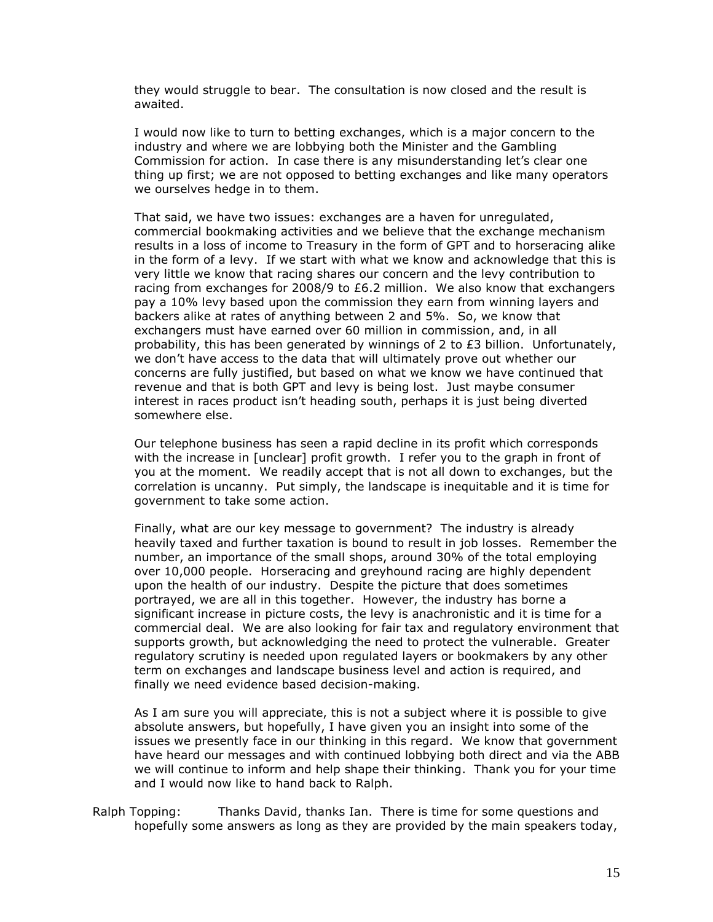they would struggle to bear. The consultation is now closed and the result is awaited.

I would now like to turn to betting exchanges, which is a major concern to the industry and where we are lobbying both the Minister and the Gambling Commission for action. In case there is any misunderstanding let"s clear one thing up first; we are not opposed to betting exchanges and like many operators we ourselves hedge in to them.

That said, we have two issues: exchanges are a haven for unregulated, commercial bookmaking activities and we believe that the exchange mechanism results in a loss of income to Treasury in the form of GPT and to horseracing alike in the form of a levy. If we start with what we know and acknowledge that this is very little we know that racing shares our concern and the levy contribution to racing from exchanges for 2008/9 to £6.2 million. We also know that exchangers pay a 10% levy based upon the commission they earn from winning layers and backers alike at rates of anything between 2 and 5%. So, we know that exchangers must have earned over 60 million in commission, and, in all probability, this has been generated by winnings of 2 to  $£3$  billion. Unfortunately, we don"t have access to the data that will ultimately prove out whether our concerns are fully justified, but based on what we know we have continued that revenue and that is both GPT and levy is being lost. Just maybe consumer interest in races product isn"t heading south, perhaps it is just being diverted somewhere else.

Our telephone business has seen a rapid decline in its profit which corresponds with the increase in [unclear] profit growth. I refer you to the graph in front of you at the moment. We readily accept that is not all down to exchanges, but the correlation is uncanny. Put simply, the landscape is inequitable and it is time for government to take some action.

Finally, what are our key message to government? The industry is already heavily taxed and further taxation is bound to result in job losses. Remember the number, an importance of the small shops, around 30% of the total employing over 10,000 people. Horseracing and greyhound racing are highly dependent upon the health of our industry. Despite the picture that does sometimes portrayed, we are all in this together. However, the industry has borne a significant increase in picture costs, the levy is anachronistic and it is time for a commercial deal. We are also looking for fair tax and regulatory environment that supports growth, but acknowledging the need to protect the vulnerable. Greater regulatory scrutiny is needed upon regulated layers or bookmakers by any other term on exchanges and landscape business level and action is required, and finally we need evidence based decision-making.

As I am sure you will appreciate, this is not a subject where it is possible to give absolute answers, but hopefully, I have given you an insight into some of the issues we presently face in our thinking in this regard. We know that government have heard our messages and with continued lobbying both direct and via the ABB we will continue to inform and help shape their thinking. Thank you for your time and I would now like to hand back to Ralph.

Ralph Topping: Thanks David, thanks Ian. There is time for some questions and hopefully some answers as long as they are provided by the main speakers today,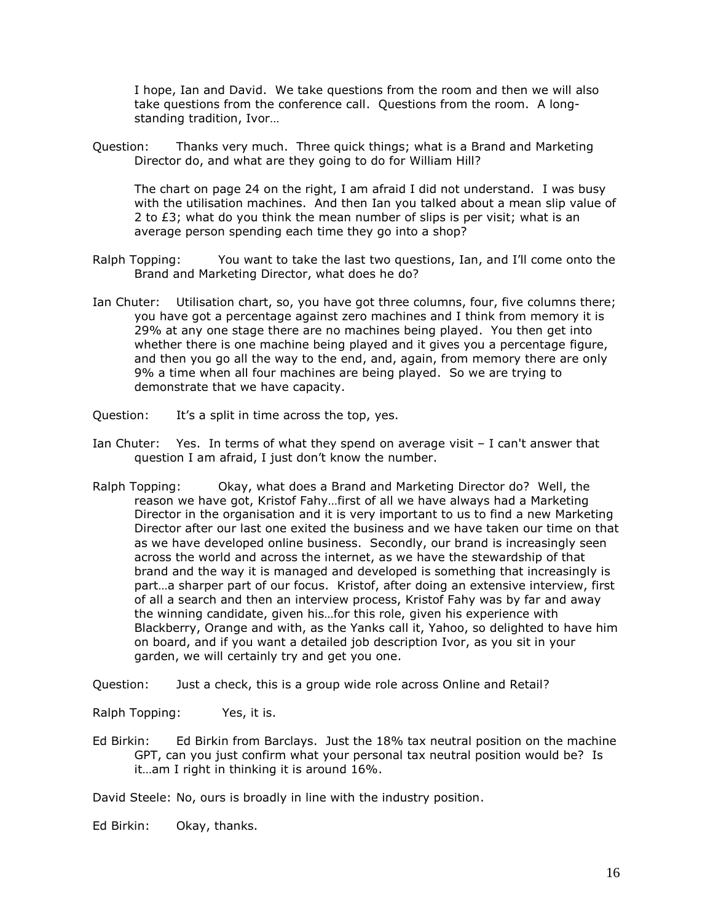I hope, Ian and David. We take questions from the room and then we will also take questions from the conference call. Questions from the room. A longstanding tradition, Ivor…

Question: Thanks very much. Three quick things; what is a Brand and Marketing Director do, and what are they going to do for William Hill?

The chart on page 24 on the right, I am afraid I did not understand. I was busy with the utilisation machines. And then Ian you talked about a mean slip value of 2 to  $E3$ ; what do you think the mean number of slips is per visit; what is an average person spending each time they go into a shop?

- Ralph Topping: You want to take the last two questions, Ian, and I"ll come onto the Brand and Marketing Director, what does he do?
- Ian Chuter: Utilisation chart, so, you have got three columns, four, five columns there; you have got a percentage against zero machines and I think from memory it is 29% at any one stage there are no machines being played. You then get into whether there is one machine being played and it gives you a percentage figure, and then you go all the way to the end, and, again, from memory there are only 9% a time when all four machines are being played. So we are trying to demonstrate that we have capacity.
- Question: It"s a split in time across the top, yes.
- Ian Chuter: Yes. In terms of what they spend on average visit I can't answer that question I am afraid, I just don"t know the number.
- Ralph Topping: Okay, what does a Brand and Marketing Director do? Well, the reason we have got, Kristof Fahy…first of all we have always had a Marketing Director in the organisation and it is very important to us to find a new Marketing Director after our last one exited the business and we have taken our time on that as we have developed online business. Secondly, our brand is increasingly seen across the world and across the internet, as we have the stewardship of that brand and the way it is managed and developed is something that increasingly is part…a sharper part of our focus. Kristof, after doing an extensive interview, first of all a search and then an interview process, Kristof Fahy was by far and away the winning candidate, given his…for this role, given his experience with Blackberry, Orange and with, as the Yanks call it, Yahoo, so delighted to have him on board, and if you want a detailed job description Ivor, as you sit in your garden, we will certainly try and get you one.

Question: Just a check, this is a group wide role across Online and Retail?

Ralph Topping: Yes, it is.

Ed Birkin: Ed Birkin from Barclays. Just the 18% tax neutral position on the machine GPT, can you just confirm what your personal tax neutral position would be? Is it…am I right in thinking it is around 16%.

David Steele: No, ours is broadly in line with the industry position.

Ed Birkin: Okay, thanks.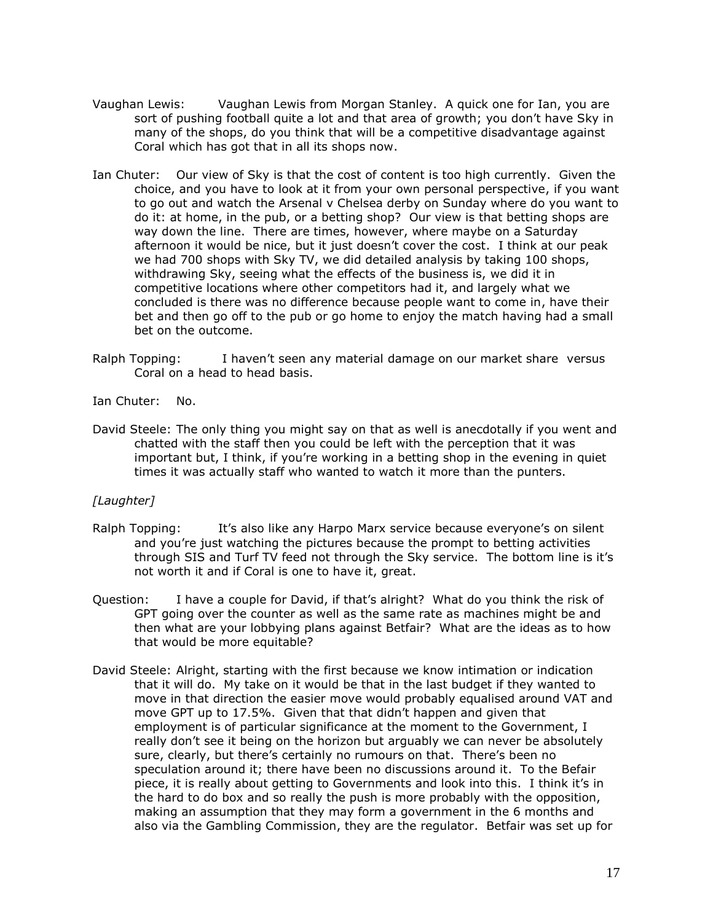- Vaughan Lewis: Vaughan Lewis from Morgan Stanley. A quick one for Ian, you are sort of pushing football quite a lot and that area of growth; you don't have Sky in many of the shops, do you think that will be a competitive disadvantage against Coral which has got that in all its shops now.
- Ian Chuter: Our view of Sky is that the cost of content is too high currently. Given the choice, and you have to look at it from your own personal perspective, if you want to go out and watch the Arsenal v Chelsea derby on Sunday where do you want to do it: at home, in the pub, or a betting shop? Our view is that betting shops are way down the line. There are times, however, where maybe on a Saturday afternoon it would be nice, but it just doesn"t cover the cost. I think at our peak we had 700 shops with Sky TV, we did detailed analysis by taking 100 shops, withdrawing Sky, seeing what the effects of the business is, we did it in competitive locations where other competitors had it, and largely what we concluded is there was no difference because people want to come in, have their bet and then go off to the pub or go home to enjoy the match having had a small bet on the outcome.
- Ralph Topping: I haven"t seen any material damage on our market share versus Coral on a head to head basis.
- Ian Chuter: No.
- David Steele: The only thing you might say on that as well is anecdotally if you went and chatted with the staff then you could be left with the perception that it was important but, I think, if you"re working in a betting shop in the evening in quiet times it was actually staff who wanted to watch it more than the punters.

### *[Laughter]*

- Ralph Topping: It's also like any Harpo Marx service because everyone's on silent and you"re just watching the pictures because the prompt to betting activities through SIS and Turf TV feed not through the Sky service. The bottom line is it"s not worth it and if Coral is one to have it, great.
- Question: I have a couple for David, if that"s alright? What do you think the risk of GPT going over the counter as well as the same rate as machines might be and then what are your lobbying plans against Betfair? What are the ideas as to how that would be more equitable?
- David Steele: Alright, starting with the first because we know intimation or indication that it will do. My take on it would be that in the last budget if they wanted to move in that direction the easier move would probably equalised around VAT and move GPT up to 17.5%. Given that that didn"t happen and given that employment is of particular significance at the moment to the Government, I really don"t see it being on the horizon but arguably we can never be absolutely sure, clearly, but there's certainly no rumours on that. There's been no speculation around it; there have been no discussions around it. To the Befair piece, it is really about getting to Governments and look into this. I think it"s in the hard to do box and so really the push is more probably with the opposition, making an assumption that they may form a government in the 6 months and also via the Gambling Commission, they are the regulator. Betfair was set up for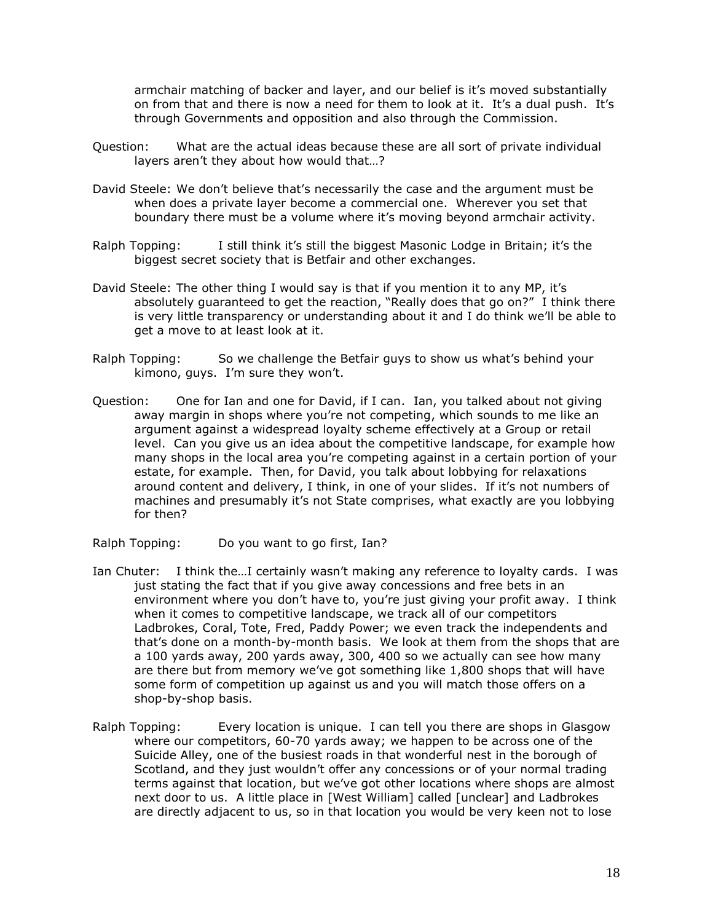armchair matching of backer and layer, and our belief is it's moved substantially on from that and there is now a need for them to look at it. It"s a dual push. It"s through Governments and opposition and also through the Commission.

- Question: What are the actual ideas because these are all sort of private individual layers aren't they about how would that...?
- David Steele: We don"t believe that"s necessarily the case and the argument must be when does a private layer become a commercial one. Wherever you set that boundary there must be a volume where it's moving beyond armchair activity.
- Ralph Topping: I still think it"s still the biggest Masonic Lodge in Britain; it"s the biggest secret society that is Betfair and other exchanges.
- David Steele: The other thing I would say is that if you mention it to any MP, it"s absolutely guaranteed to get the reaction, "Really does that go on?" I think there is very little transparency or understanding about it and I do think we"ll be able to get a move to at least look at it.
- Ralph Topping: So we challenge the Betfair guys to show us what"s behind your kimono, guys. I'm sure they won't.
- Question: One for Ian and one for David, if I can. Ian, you talked about not giving away margin in shops where you're not competing, which sounds to me like an argument against a widespread loyalty scheme effectively at a Group or retail level. Can you give us an idea about the competitive landscape, for example how many shops in the local area you"re competing against in a certain portion of your estate, for example. Then, for David, you talk about lobbying for relaxations around content and delivery, I think, in one of your slides. If it's not numbers of machines and presumably it's not State comprises, what exactly are you lobbying for then?
- Ralph Topping: Do you want to go first, Ian?
- Ian Chuter: I think the…I certainly wasn"t making any reference to loyalty cards. I was just stating the fact that if you give away concessions and free bets in an environment where you don"t have to, you"re just giving your profit away. I think when it comes to competitive landscape, we track all of our competitors Ladbrokes, Coral, Tote, Fred, Paddy Power; we even track the independents and that"s done on a month-by-month basis. We look at them from the shops that are a 100 yards away, 200 yards away, 300, 400 so we actually can see how many are there but from memory we've got something like 1,800 shops that will have some form of competition up against us and you will match those offers on a shop-by-shop basis.
- Ralph Topping: Every location is unique. I can tell you there are shops in Glasgow where our competitors, 60-70 yards away; we happen to be across one of the Suicide Alley, one of the busiest roads in that wonderful nest in the borough of Scotland, and they just wouldn't offer any concessions or of your normal trading terms against that location, but we"ve got other locations where shops are almost next door to us. A little place in [West William] called [unclear] and Ladbrokes are directly adjacent to us, so in that location you would be very keen not to lose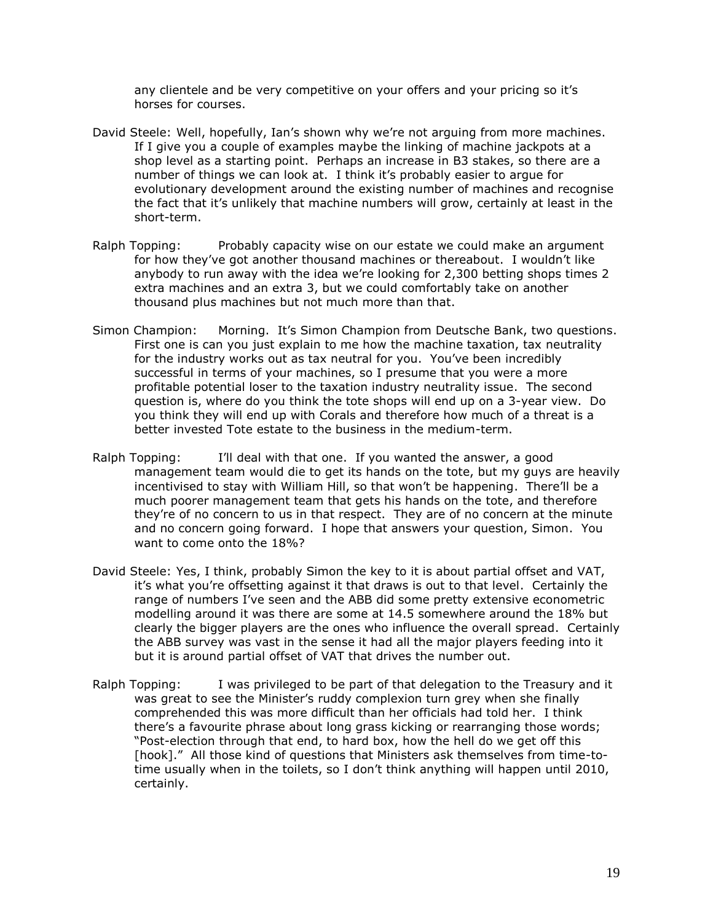any clientele and be very competitive on your offers and your pricing so it's horses for courses.

- David Steele: Well, hopefully, Ian's shown why we're not arguing from more machines. If I give you a couple of examples maybe the linking of machine jackpots at a shop level as a starting point. Perhaps an increase in B3 stakes, so there are a number of things we can look at. I think it"s probably easier to argue for evolutionary development around the existing number of machines and recognise the fact that it"s unlikely that machine numbers will grow, certainly at least in the short-term.
- Ralph Topping: Probably capacity wise on our estate we could make an argument for how they"ve got another thousand machines or thereabout. I wouldn"t like anybody to run away with the idea we"re looking for 2,300 betting shops times 2 extra machines and an extra 3, but we could comfortably take on another thousand plus machines but not much more than that.
- Simon Champion: Morning. It's Simon Champion from Deutsche Bank, two questions. First one is can you just explain to me how the machine taxation, tax neutrality for the industry works out as tax neutral for you. You"ve been incredibly successful in terms of your machines, so I presume that you were a more profitable potential loser to the taxation industry neutrality issue. The second question is, where do you think the tote shops will end up on a 3-year view. Do you think they will end up with Corals and therefore how much of a threat is a better invested Tote estate to the business in the medium-term.
- Ralph Topping: I"ll deal with that one. If you wanted the answer, a good management team would die to get its hands on the tote, but my guys are heavily incentivised to stay with William Hill, so that won"t be happening. There"ll be a much poorer management team that gets his hands on the tote, and therefore they"re of no concern to us in that respect. They are of no concern at the minute and no concern going forward. I hope that answers your question, Simon. You want to come onto the 18%?
- David Steele: Yes, I think, probably Simon the key to it is about partial offset and VAT, it"s what you"re offsetting against it that draws is out to that level. Certainly the range of numbers I"ve seen and the ABB did some pretty extensive econometric modelling around it was there are some at 14.5 somewhere around the 18% but clearly the bigger players are the ones who influence the overall spread. Certainly the ABB survey was vast in the sense it had all the major players feeding into it but it is around partial offset of VAT that drives the number out.
- Ralph Topping: I was privileged to be part of that delegation to the Treasury and it was great to see the Minister"s ruddy complexion turn grey when she finally comprehended this was more difficult than her officials had told her. I think there"s a favourite phrase about long grass kicking or rearranging those words; "Post-election through that end, to hard box, how the hell do we get off this [hook]." All those kind of questions that Ministers ask themselves from time-totime usually when in the toilets, so I don"t think anything will happen until 2010, certainly.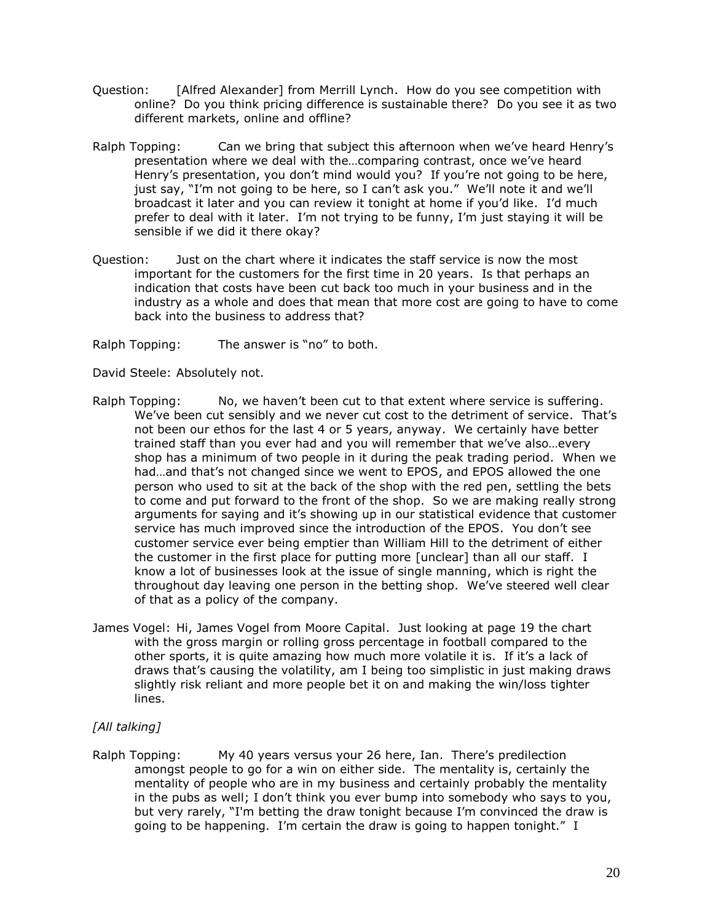- Question: [Alfred Alexander] from Merrill Lynch. How do you see competition with online? Do you think pricing difference is sustainable there? Do you see it as two different markets, online and offline?
- Ralph Topping: Can we bring that subject this afternoon when we've heard Henry's presentation where we deal with the…comparing contrast, once we"ve heard Henry's presentation, you don't mind would you? If you're not going to be here, just say, "I"m not going to be here, so I can"t ask you." We"ll note it and we"ll broadcast it later and you can review it tonight at home if you"d like. I"d much prefer to deal with it later. I"m not trying to be funny, I"m just staying it will be sensible if we did it there okay?
- Question: Just on the chart where it indicates the staff service is now the most important for the customers for the first time in 20 years. Is that perhaps an indication that costs have been cut back too much in your business and in the industry as a whole and does that mean that more cost are going to have to come back into the business to address that?
- Ralph Topping: The answer is "no" to both.
- David Steele: Absolutely not.
- Ralph Topping: No, we haven't been cut to that extent where service is suffering. We've been cut sensibly and we never cut cost to the detriment of service. That's not been our ethos for the last 4 or 5 years, anyway. We certainly have better trained staff than you ever had and you will remember that we"ve also…every shop has a minimum of two people in it during the peak trading period. When we had...and that's not changed since we went to EPOS, and EPOS allowed the one person who used to sit at the back of the shop with the red pen, settling the bets to come and put forward to the front of the shop. So we are making really strong arguments for saying and it"s showing up in our statistical evidence that customer service has much improved since the introduction of the EPOS. You don"t see customer service ever being emptier than William Hill to the detriment of either the customer in the first place for putting more [unclear] than all our staff. I know a lot of businesses look at the issue of single manning, which is right the throughout day leaving one person in the betting shop. We"ve steered well clear of that as a policy of the company.
- James Vogel: Hi, James Vogel from Moore Capital. Just looking at page 19 the chart with the gross margin or rolling gross percentage in football compared to the other sports, it is quite amazing how much more volatile it is. If it"s a lack of draws that"s causing the volatility, am I being too simplistic in just making draws slightly risk reliant and more people bet it on and making the win/loss tighter lines.

## *[All talking]*

Ralph Topping: My 40 years versus your 26 here, Ian. There"s predilection amongst people to go for a win on either side. The mentality is, certainly the mentality of people who are in my business and certainly probably the mentality in the pubs as well; I don"t think you ever bump into somebody who says to you, but very rarely, "I'm betting the draw tonight because I"m convinced the draw is going to be happening. I'm certain the draw is going to happen tonight." I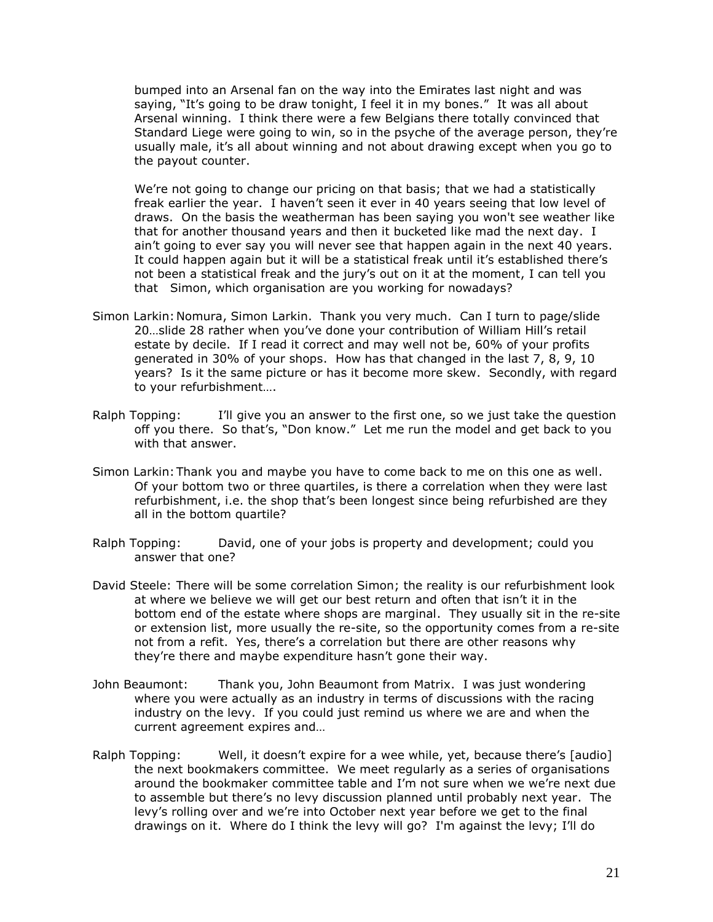bumped into an Arsenal fan on the way into the Emirates last night and was saying, "It's going to be draw tonight, I feel it in my bones." It was all about Arsenal winning. I think there were a few Belgians there totally convinced that Standard Liege were going to win, so in the psyche of the average person, they"re usually male, it"s all about winning and not about drawing except when you go to the payout counter.

We"re not going to change our pricing on that basis; that we had a statistically freak earlier the year. I haven"t seen it ever in 40 years seeing that low level of draws. On the basis the weatherman has been saying you won't see weather like that for another thousand years and then it bucketed like mad the next day. I ain"t going to ever say you will never see that happen again in the next 40 years. It could happen again but it will be a statistical freak until it's established there's not been a statistical freak and the jury"s out on it at the moment, I can tell you that Simon, which organisation are you working for nowadays?

- Simon Larkin: Nomura, Simon Larkin. Thank you very much. Can I turn to page/slide 20…slide 28 rather when you"ve done your contribution of William Hill"s retail estate by decile. If I read it correct and may well not be, 60% of your profits generated in 30% of your shops. How has that changed in the last 7, 8, 9, 10 years? Is it the same picture or has it become more skew. Secondly, with regard to your refurbishment….
- Ralph Topping: I'll give you an answer to the first one, so we just take the question off you there. So that's, "Don know." Let me run the model and get back to you with that answer.
- Simon Larkin:Thank you and maybe you have to come back to me on this one as well. Of your bottom two or three quartiles, is there a correlation when they were last refurbishment, i.e. the shop that"s been longest since being refurbished are they all in the bottom quartile?
- Ralph Topping: David, one of your jobs is property and development; could you answer that one?
- David Steele: There will be some correlation Simon; the reality is our refurbishment look at where we believe we will get our best return and often that isn"t it in the bottom end of the estate where shops are marginal. They usually sit in the re-site or extension list, more usually the re-site, so the opportunity comes from a re-site not from a refit. Yes, there"s a correlation but there are other reasons why they"re there and maybe expenditure hasn"t gone their way.
- John Beaumont: Thank you, John Beaumont from Matrix. I was just wondering where you were actually as an industry in terms of discussions with the racing industry on the levy. If you could just remind us where we are and when the current agreement expires and…
- Ralph Topping: Well, it doesn't expire for a wee while, yet, because there's [audio] the next bookmakers committee. We meet regularly as a series of organisations around the bookmaker committee table and I"m not sure when we we"re next due to assemble but there"s no levy discussion planned until probably next year. The levy"s rolling over and we"re into October next year before we get to the final drawings on it. Where do I think the levy will go? I'm against the levy; I"ll do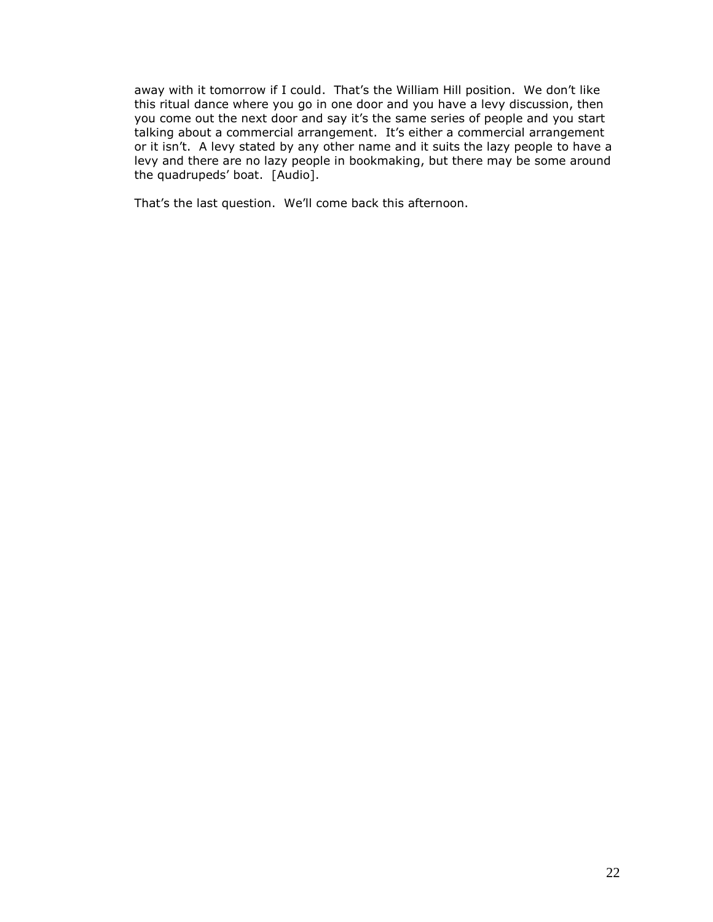away with it tomorrow if I could. That's the William Hill position. We don't like this ritual dance where you go in one door and you have a levy discussion, then you come out the next door and say it"s the same series of people and you start talking about a commercial arrangement. It"s either a commercial arrangement or it isn"t. A levy stated by any other name and it suits the lazy people to have a levy and there are no lazy people in bookmaking, but there may be some around the quadrupeds" boat. [Audio].

That"s the last question. We"ll come back this afternoon.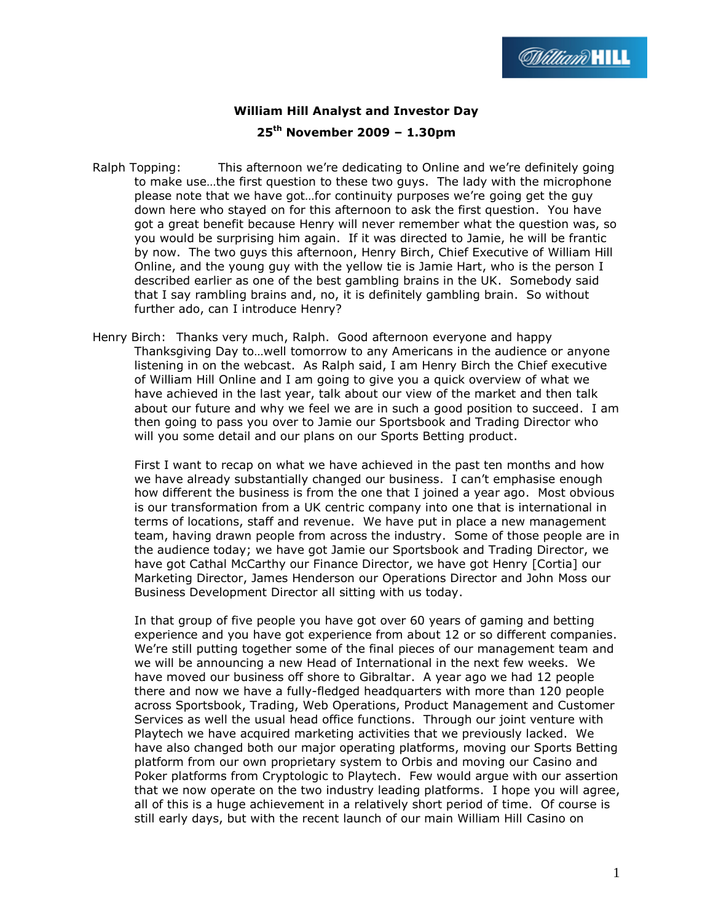# **William Hill Analyst and Investor Day 25th November 2009 – 1.30pm**

- Ralph Topping: This afternoon we're dedicating to Online and we're definitely going to make use…the first question to these two guys. The lady with the microphone please note that we have got…for continuity purposes we're going get the guy down here who stayed on for this afternoon to ask the first question. You have got a great benefit because Henry will never remember what the question was, so you would be surprising him again. If it was directed to Jamie, he will be frantic by now. The two guys this afternoon, Henry Birch, Chief Executive of William Hill Online, and the young guy with the yellow tie is Jamie Hart, who is the person I described earlier as one of the best gambling brains in the UK. Somebody said that I say rambling brains and, no, it is definitely gambling brain. So without further ado, can I introduce Henry?
- Henry Birch: Thanks very much, Ralph. Good afternoon everyone and happy Thanksgiving Day to…well tomorrow to any Americans in the audience or anyone listening in on the webcast. As Ralph said, I am Henry Birch the Chief executive of William Hill Online and I am going to give you a quick overview of what we have achieved in the last year, talk about our view of the market and then talk about our future and why we feel we are in such a good position to succeed. I am then going to pass you over to Jamie our Sportsbook and Trading Director who will you some detail and our plans on our Sports Betting product.

First I want to recap on what we have achieved in the past ten months and how we have already substantially changed our business. I can't emphasise enough how different the business is from the one that I joined a year ago. Most obvious is our transformation from a UK centric company into one that is international in terms of locations, staff and revenue. We have put in place a new management team, having drawn people from across the industry. Some of those people are in the audience today; we have got Jamie our Sportsbook and Trading Director, we have got Cathal McCarthy our Finance Director, we have got Henry [Cortia] our Marketing Director, James Henderson our Operations Director and John Moss our Business Development Director all sitting with us today.

In that group of five people you have got over 60 years of gaming and betting experience and you have got experience from about 12 or so different companies. We're still putting together some of the final pieces of our management team and we will be announcing a new Head of International in the next few weeks. We have moved our business off shore to Gibraltar. A year ago we had 12 people there and now we have a fully-fledged headquarters with more than 120 people across Sportsbook, Trading, Web Operations, Product Management and Customer Services as well the usual head office functions. Through our joint venture with Playtech we have acquired marketing activities that we previously lacked. We have also changed both our major operating platforms, moving our Sports Betting platform from our own proprietary system to Orbis and moving our Casino and Poker platforms from Cryptologic to Playtech. Few would argue with our assertion that we now operate on the two industry leading platforms. I hope you will agree, all of this is a huge achievement in a relatively short period of time. Of course is still early days, but with the recent launch of our main William Hill Casino on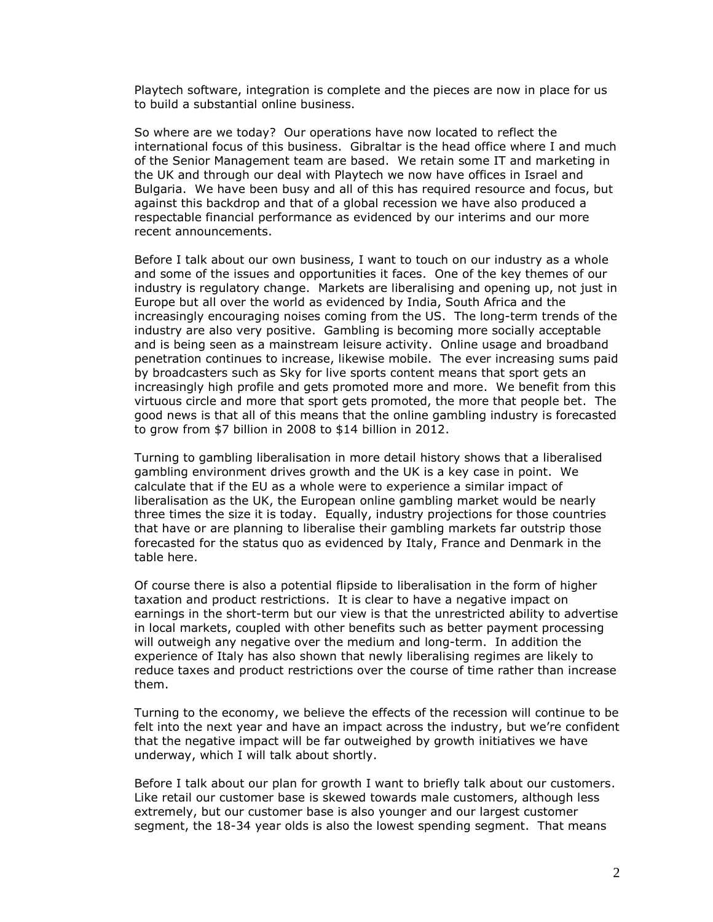Playtech software, integration is complete and the pieces are now in place for us to build a substantial online business.

So where are we today? Our operations have now located to reflect the international focus of this business. Gibraltar is the head office where I and much of the Senior Management team are based. We retain some IT and marketing in the UK and through our deal with Playtech we now have offices in Israel and Bulgaria. We have been busy and all of this has required resource and focus, but against this backdrop and that of a global recession we have also produced a respectable financial performance as evidenced by our interims and our more recent announcements.

Before I talk about our own business, I want to touch on our industry as a whole and some of the issues and opportunities it faces. One of the key themes of our industry is regulatory change. Markets are liberalising and opening up, not just in Europe but all over the world as evidenced by India, South Africa and the increasingly encouraging noises coming from the US. The long-term trends of the industry are also very positive. Gambling is becoming more socially acceptable and is being seen as a mainstream leisure activity. Online usage and broadband penetration continues to increase, likewise mobile. The ever increasing sums paid by broadcasters such as Sky for live sports content means that sport gets an increasingly high profile and gets promoted more and more. We benefit from this virtuous circle and more that sport gets promoted, the more that people bet. The good news is that all of this means that the online gambling industry is forecasted to grow from \$7 billion in 2008 to \$14 billion in 2012.

Turning to gambling liberalisation in more detail history shows that a liberalised gambling environment drives growth and the UK is a key case in point. We calculate that if the EU as a whole were to experience a similar impact of liberalisation as the UK, the European online gambling market would be nearly three times the size it is today. Equally, industry projections for those countries that have or are planning to liberalise their gambling markets far outstrip those forecasted for the status quo as evidenced by Italy, France and Denmark in the table here.

Of course there is also a potential flipside to liberalisation in the form of higher taxation and product restrictions. It is clear to have a negative impact on earnings in the short-term but our view is that the unrestricted ability to advertise in local markets, coupled with other benefits such as better payment processing will outweigh any negative over the medium and long-term. In addition the experience of Italy has also shown that newly liberalising regimes are likely to reduce taxes and product restrictions over the course of time rather than increase them.

Turning to the economy, we believe the effects of the recession will continue to be felt into the next year and have an impact across the industry, but we're confident that the negative impact will be far outweighed by growth initiatives we have underway, which I will talk about shortly.

Before I talk about our plan for growth I want to briefly talk about our customers. Like retail our customer base is skewed towards male customers, although less extremely, but our customer base is also younger and our largest customer segment, the 18-34 year olds is also the lowest spending segment. That means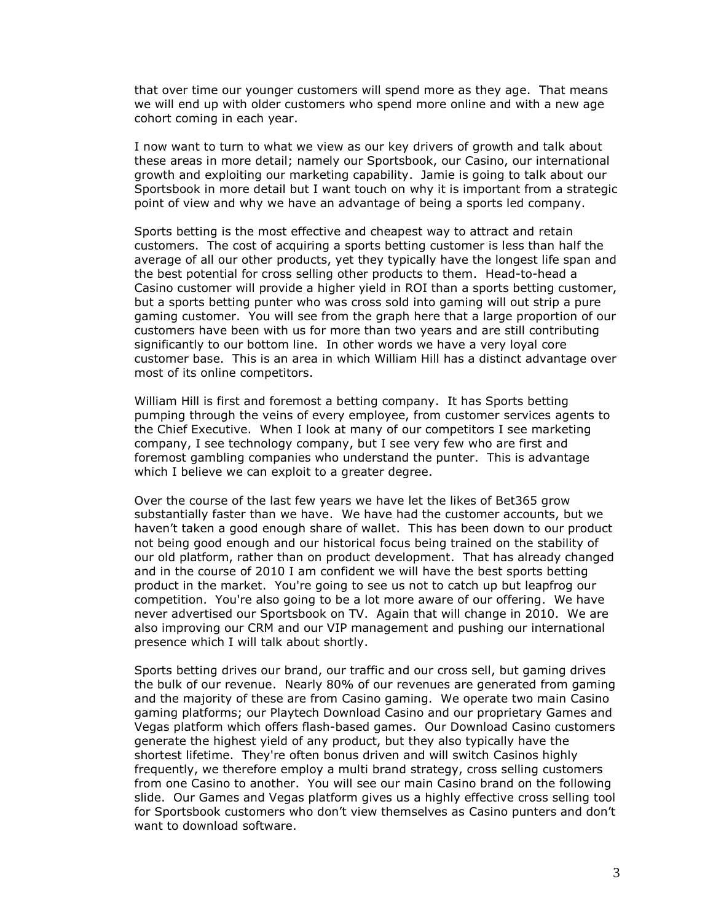that over time our younger customers will spend more as they age. That means we will end up with older customers who spend more online and with a new age cohort coming in each year.

I now want to turn to what we view as our key drivers of growth and talk about these areas in more detail; namely our Sportsbook, our Casino, our international growth and exploiting our marketing capability. Jamie is going to talk about our Sportsbook in more detail but I want touch on why it is important from a strategic point of view and why we have an advantage of being a sports led company.

Sports betting is the most effective and cheapest way to attract and retain customers. The cost of acquiring a sports betting customer is less than half the average of all our other products, yet they typically have the longest life span and the best potential for cross selling other products to them. Head-to-head a Casino customer will provide a higher yield in ROI than a sports betting customer, but a sports betting punter who was cross sold into gaming will out strip a pure gaming customer. You will see from the graph here that a large proportion of our customers have been with us for more than two years and are still contributing significantly to our bottom line. In other words we have a very loyal core customer base. This is an area in which William Hill has a distinct advantage over most of its online competitors.

William Hill is first and foremost a betting company. It has Sports betting pumping through the veins of every employee, from customer services agents to the Chief Executive. When I look at many of our competitors I see marketing company, I see technology company, but I see very few who are first and foremost gambling companies who understand the punter. This is advantage which I believe we can exploit to a greater degree.

Over the course of the last few years we have let the likes of Bet365 grow substantially faster than we have. We have had the customer accounts, but we haven't taken a good enough share of wallet. This has been down to our product not being good enough and our historical focus being trained on the stability of our old platform, rather than on product development. That has already changed and in the course of 2010 I am confident we will have the best sports betting product in the market. You're going to see us not to catch up but leapfrog our competition. You're also going to be a lot more aware of our offering. We have never advertised our Sportsbook on TV. Again that will change in 2010. We are also improving our CRM and our VIP management and pushing our international presence which I will talk about shortly.

Sports betting drives our brand, our traffic and our cross sell, but gaming drives the bulk of our revenue. Nearly 80% of our revenues are generated from gaming and the majority of these are from Casino gaming. We operate two main Casino gaming platforms; our Playtech Download Casino and our proprietary Games and Vegas platform which offers flash-based games. Our Download Casino customers generate the highest yield of any product, but they also typically have the shortest lifetime. They're often bonus driven and will switch Casinos highly frequently, we therefore employ a multi brand strategy, cross selling customers from one Casino to another. You will see our main Casino brand on the following slide. Our Games and Vegas platform gives us a highly effective cross selling tool for Sportsbook customers who don't view themselves as Casino punters and don't want to download software.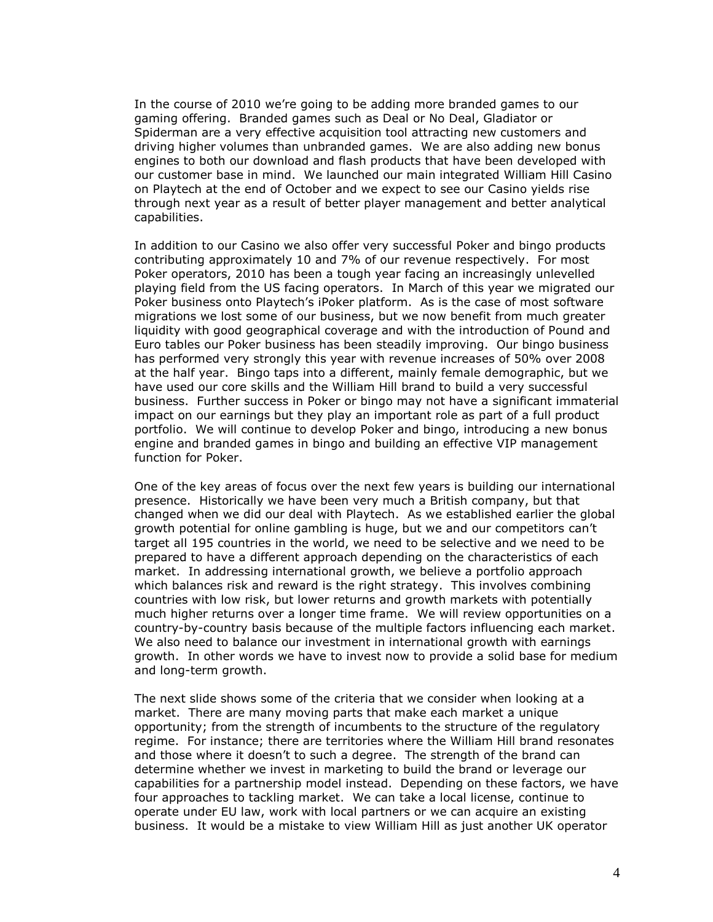In the course of 2010 we're going to be adding more branded games to our gaming offering. Branded games such as Deal or No Deal, Gladiator or Spiderman are a very effective acquisition tool attracting new customers and driving higher volumes than unbranded games. We are also adding new bonus engines to both our download and flash products that have been developed with our customer base in mind. We launched our main integrated William Hill Casino on Playtech at the end of October and we expect to see our Casino yields rise through next year as a result of better player management and better analytical capabilities.

In addition to our Casino we also offer very successful Poker and bingo products contributing approximately 10 and 7% of our revenue respectively. For most Poker operators, 2010 has been a tough year facing an increasingly unlevelled playing field from the US facing operators. In March of this year we migrated our Poker business onto Playtech's iPoker platform. As is the case of most software migrations we lost some of our business, but we now benefit from much greater liquidity with good geographical coverage and with the introduction of Pound and Euro tables our Poker business has been steadily improving. Our bingo business has performed very strongly this year with revenue increases of 50% over 2008 at the half year. Bingo taps into a different, mainly female demographic, but we have used our core skills and the William Hill brand to build a very successful business. Further success in Poker or bingo may not have a significant immaterial impact on our earnings but they play an important role as part of a full product portfolio. We will continue to develop Poker and bingo, introducing a new bonus engine and branded games in bingo and building an effective VIP management function for Poker.

One of the key areas of focus over the next few years is building our international presence. Historically we have been very much a British company, but that changed when we did our deal with Playtech. As we established earlier the global growth potential for online gambling is huge, but we and our competitors can't target all 195 countries in the world, we need to be selective and we need to be prepared to have a different approach depending on the characteristics of each market. In addressing international growth, we believe a portfolio approach which balances risk and reward is the right strategy. This involves combining countries with low risk, but lower returns and growth markets with potentially much higher returns over a longer time frame. We will review opportunities on a country-by-country basis because of the multiple factors influencing each market. We also need to balance our investment in international growth with earnings growth. In other words we have to invest now to provide a solid base for medium and long-term growth.

The next slide shows some of the criteria that we consider when looking at a market. There are many moving parts that make each market a unique opportunity; from the strength of incumbents to the structure of the regulatory regime. For instance; there are territories where the William Hill brand resonates and those where it doesn't to such a degree. The strength of the brand can determine whether we invest in marketing to build the brand or leverage our capabilities for a partnership model instead. Depending on these factors, we have four approaches to tackling market. We can take a local license, continue to operate under EU law, work with local partners or we can acquire an existing business. It would be a mistake to view William Hill as just another UK operator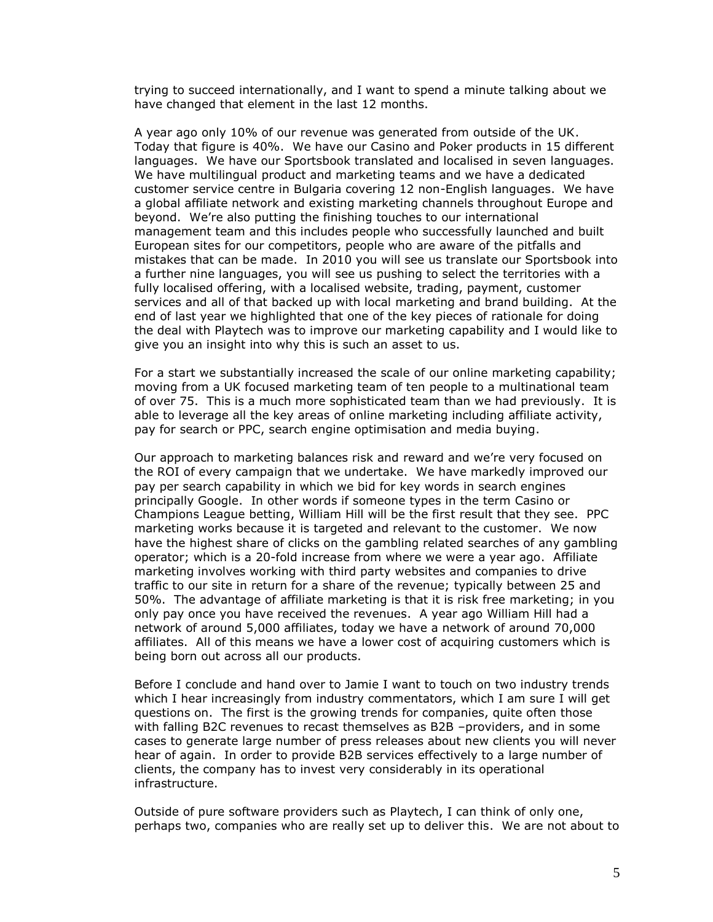trying to succeed internationally, and I want to spend a minute talking about we have changed that element in the last 12 months.

A year ago only 10% of our revenue was generated from outside of the UK. Today that figure is 40%. We have our Casino and Poker products in 15 different languages. We have our Sportsbook translated and localised in seven languages. We have multilingual product and marketing teams and we have a dedicated customer service centre in Bulgaria covering 12 non-English languages. We have a global affiliate network and existing marketing channels throughout Europe and beyond. We're also putting the finishing touches to our international management team and this includes people who successfully launched and built European sites for our competitors, people who are aware of the pitfalls and mistakes that can be made. In 2010 you will see us translate our Sportsbook into a further nine languages, you will see us pushing to select the territories with a fully localised offering, with a localised website, trading, payment, customer services and all of that backed up with local marketing and brand building. At the end of last year we highlighted that one of the key pieces of rationale for doing the deal with Playtech was to improve our marketing capability and I would like to give you an insight into why this is such an asset to us.

For a start we substantially increased the scale of our online marketing capability; moving from a UK focused marketing team of ten people to a multinational team of over 75. This is a much more sophisticated team than we had previously. It is able to leverage all the key areas of online marketing including affiliate activity, pay for search or PPC, search engine optimisation and media buying.

Our approach to marketing balances risk and reward and we're very focused on the ROI of every campaign that we undertake. We have markedly improved our pay per search capability in which we bid for key words in search engines principally Google. In other words if someone types in the term Casino or Champions League betting, William Hill will be the first result that they see. PPC marketing works because it is targeted and relevant to the customer. We now have the highest share of clicks on the gambling related searches of any gambling operator; which is a 20-fold increase from where we were a year ago. Affiliate marketing involves working with third party websites and companies to drive traffic to our site in return for a share of the revenue; typically between 25 and 50%. The advantage of affiliate marketing is that it is risk free marketing; in you only pay once you have received the revenues. A year ago William Hill had a network of around 5,000 affiliates, today we have a network of around 70,000 affiliates. All of this means we have a lower cost of acquiring customers which is being born out across all our products.

Before I conclude and hand over to Jamie I want to touch on two industry trends which I hear increasingly from industry commentators, which I am sure I will get questions on. The first is the growing trends for companies, quite often those with falling B2C revenues to recast themselves as B2B –providers, and in some cases to generate large number of press releases about new clients you will never hear of again. In order to provide B2B services effectively to a large number of clients, the company has to invest very considerably in its operational infrastructure.

Outside of pure software providers such as Playtech, I can think of only one, perhaps two, companies who are really set up to deliver this. We are not about to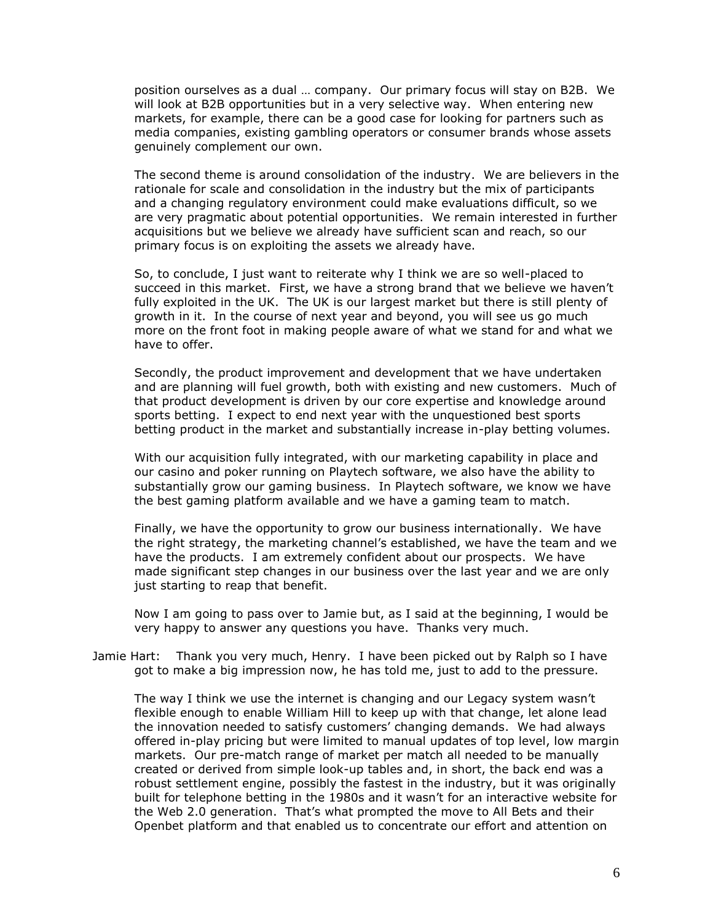position ourselves as a dual … company. Our primary focus will stay on B2B. We will look at B2B opportunities but in a very selective way. When entering new markets, for example, there can be a good case for looking for partners such as media companies, existing gambling operators or consumer brands whose assets genuinely complement our own.

The second theme is around consolidation of the industry. We are believers in the rationale for scale and consolidation in the industry but the mix of participants and a changing regulatory environment could make evaluations difficult, so we are very pragmatic about potential opportunities. We remain interested in further acquisitions but we believe we already have sufficient scan and reach, so our primary focus is on exploiting the assets we already have.

So, to conclude, I just want to reiterate why I think we are so well-placed to succeed in this market. First, we have a strong brand that we believe we haven't fully exploited in the UK. The UK is our largest market but there is still plenty of growth in it. In the course of next year and beyond, you will see us go much more on the front foot in making people aware of what we stand for and what we have to offer.

Secondly, the product improvement and development that we have undertaken and are planning will fuel growth, both with existing and new customers. Much of that product development is driven by our core expertise and knowledge around sports betting. I expect to end next year with the unquestioned best sports betting product in the market and substantially increase in-play betting volumes.

With our acquisition fully integrated, with our marketing capability in place and our casino and poker running on Playtech software, we also have the ability to substantially grow our gaming business. In Playtech software, we know we have the best gaming platform available and we have a gaming team to match.

Finally, we have the opportunity to grow our business internationally. We have the right strategy, the marketing channel's established, we have the team and we have the products. I am extremely confident about our prospects. We have made significant step changes in our business over the last year and we are only just starting to reap that benefit.

Now I am going to pass over to Jamie but, as I said at the beginning, I would be very happy to answer any questions you have. Thanks very much.

Jamie Hart: Thank you very much, Henry. I have been picked out by Ralph so I have got to make a big impression now, he has told me, just to add to the pressure.

The way I think we use the internet is changing and our Legacy system wasn't flexible enough to enable William Hill to keep up with that change, let alone lead the innovation needed to satisfy customers' changing demands. We had always offered in-play pricing but were limited to manual updates of top level, low margin markets. Our pre-match range of market per match all needed to be manually created or derived from simple look-up tables and, in short, the back end was a robust settlement engine, possibly the fastest in the industry, but it was originally built for telephone betting in the 1980s and it wasn't for an interactive website for the Web 2.0 generation. That's what prompted the move to All Bets and their Openbet platform and that enabled us to concentrate our effort and attention on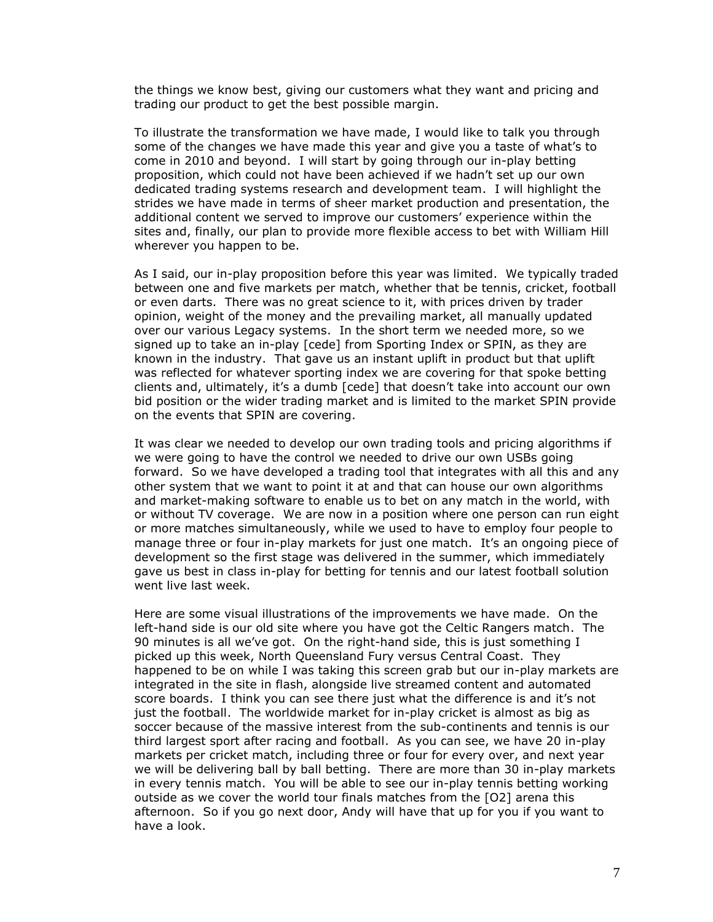the things we know best, giving our customers what they want and pricing and trading our product to get the best possible margin.

To illustrate the transformation we have made, I would like to talk you through some of the changes we have made this year and give you a taste of what's to come in 2010 and beyond. I will start by going through our in-play betting proposition, which could not have been achieved if we hadn't set up our own dedicated trading systems research and development team. I will highlight the strides we have made in terms of sheer market production and presentation, the additional content we served to improve our customers' experience within the sites and, finally, our plan to provide more flexible access to bet with William Hill wherever you happen to be.

As I said, our in-play proposition before this year was limited. We typically traded between one and five markets per match, whether that be tennis, cricket, football or even darts. There was no great science to it, with prices driven by trader opinion, weight of the money and the prevailing market, all manually updated over our various Legacy systems. In the short term we needed more, so we signed up to take an in-play [cede] from Sporting Index or SPIN, as they are known in the industry. That gave us an instant uplift in product but that uplift was reflected for whatever sporting index we are covering for that spoke betting clients and, ultimately, it's a dumb [cede] that doesn't take into account our own bid position or the wider trading market and is limited to the market SPIN provide on the events that SPIN are covering.

It was clear we needed to develop our own trading tools and pricing algorithms if we were going to have the control we needed to drive our own USBs going forward. So we have developed a trading tool that integrates with all this and any other system that we want to point it at and that can house our own algorithms and market-making software to enable us to bet on any match in the world, with or without TV coverage. We are now in a position where one person can run eight or more matches simultaneously, while we used to have to employ four people to manage three or four in-play markets for just one match. It's an ongoing piece of development so the first stage was delivered in the summer, which immediately gave us best in class in-play for betting for tennis and our latest football solution went live last week.

Here are some visual illustrations of the improvements we have made. On the left-hand side is our old site where you have got the Celtic Rangers match. The 90 minutes is all we've got. On the right-hand side, this is just something I picked up this week, North Queensland Fury versus Central Coast. They happened to be on while I was taking this screen grab but our in-play markets are integrated in the site in flash, alongside live streamed content and automated score boards. I think you can see there just what the difference is and it's not just the football. The worldwide market for in-play cricket is almost as big as soccer because of the massive interest from the sub-continents and tennis is our third largest sport after racing and football. As you can see, we have 20 in-play markets per cricket match, including three or four for every over, and next year we will be delivering ball by ball betting. There are more than 30 in-play markets in every tennis match. You will be able to see our in-play tennis betting working outside as we cover the world tour finals matches from the [O2] arena this afternoon. So if you go next door, Andy will have that up for you if you want to have a look.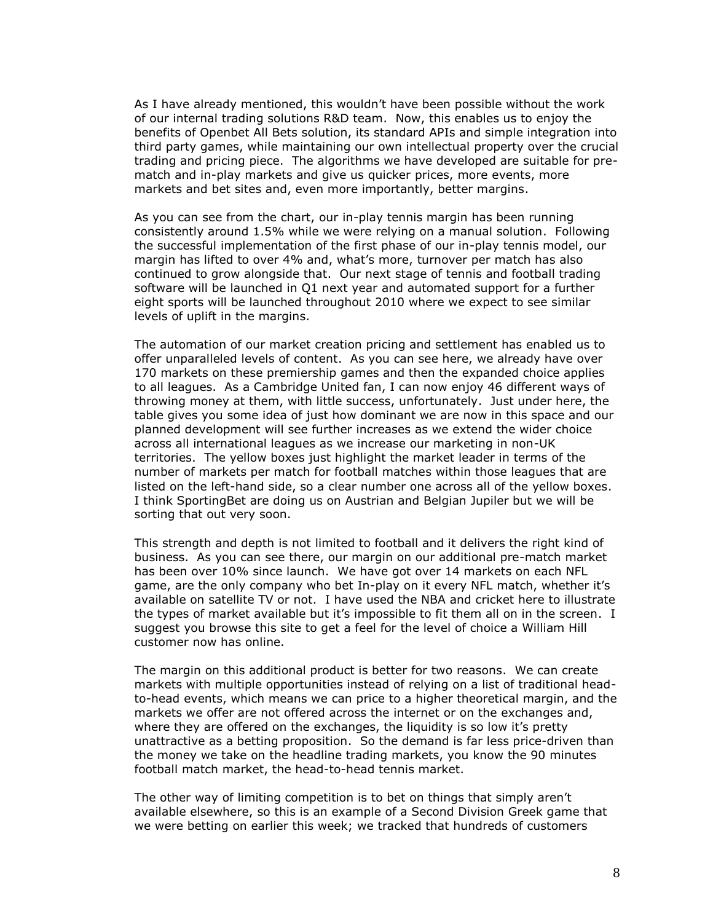As I have already mentioned, this wouldn't have been possible without the work of our internal trading solutions R&D team. Now, this enables us to enjoy the benefits of Openbet All Bets solution, its standard APIs and simple integration into third party games, while maintaining our own intellectual property over the crucial trading and pricing piece. The algorithms we have developed are suitable for prematch and in-play markets and give us quicker prices, more events, more markets and bet sites and, even more importantly, better margins.

As you can see from the chart, our in-play tennis margin has been running consistently around 1.5% while we were relying on a manual solution. Following the successful implementation of the first phase of our in-play tennis model, our margin has lifted to over 4% and, what's more, turnover per match has also continued to grow alongside that. Our next stage of tennis and football trading software will be launched in Q1 next year and automated support for a further eight sports will be launched throughout 2010 where we expect to see similar levels of uplift in the margins.

The automation of our market creation pricing and settlement has enabled us to offer unparalleled levels of content. As you can see here, we already have over 170 markets on these premiership games and then the expanded choice applies to all leagues. As a Cambridge United fan, I can now enjoy 46 different ways of throwing money at them, with little success, unfortunately. Just under here, the table gives you some idea of just how dominant we are now in this space and our planned development will see further increases as we extend the wider choice across all international leagues as we increase our marketing in non-UK territories. The yellow boxes just highlight the market leader in terms of the number of markets per match for football matches within those leagues that are listed on the left-hand side, so a clear number one across all of the yellow boxes. I think SportingBet are doing us on Austrian and Belgian Jupiler but we will be sorting that out very soon.

This strength and depth is not limited to football and it delivers the right kind of business. As you can see there, our margin on our additional pre-match market has been over 10% since launch. We have got over 14 markets on each NFL game, are the only company who bet In-play on it every NFL match, whether it's available on satellite TV or not. I have used the NBA and cricket here to illustrate the types of market available but it's impossible to fit them all on in the screen. I suggest you browse this site to get a feel for the level of choice a William Hill customer now has online.

The margin on this additional product is better for two reasons. We can create markets with multiple opportunities instead of relying on a list of traditional headto-head events, which means we can price to a higher theoretical margin, and the markets we offer are not offered across the internet or on the exchanges and, where they are offered on the exchanges, the liquidity is so low it's pretty unattractive as a betting proposition. So the demand is far less price-driven than the money we take on the headline trading markets, you know the 90 minutes football match market, the head-to-head tennis market.

The other way of limiting competition is to bet on things that simply aren't available elsewhere, so this is an example of a Second Division Greek game that we were betting on earlier this week; we tracked that hundreds of customers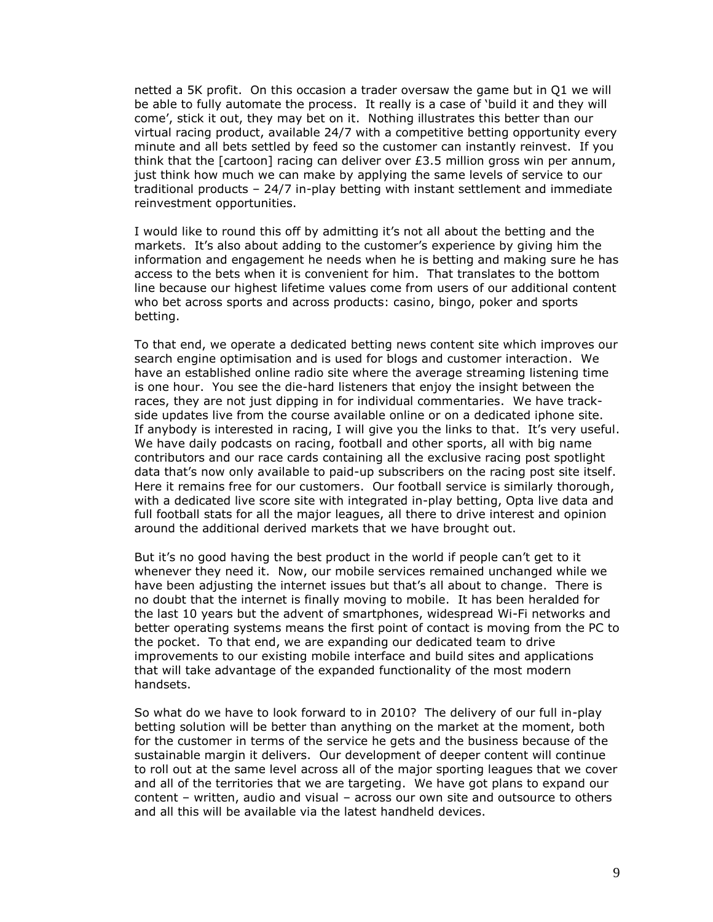netted a 5K profit. On this occasion a trader oversaw the game but in Q1 we will be able to fully automate the process. It really is a case of 'build it and they will come', stick it out, they may bet on it. Nothing illustrates this better than our virtual racing product, available 24/7 with a competitive betting opportunity every minute and all bets settled by feed so the customer can instantly reinvest. If you think that the [cartoon] racing can deliver over  $E3.5$  million gross win per annum, just think how much we can make by applying the same levels of service to our traditional products – 24/7 in-play betting with instant settlement and immediate reinvestment opportunities.

I would like to round this off by admitting it's not all about the betting and the markets. It's also about adding to the customer's experience by giving him the information and engagement he needs when he is betting and making sure he has access to the bets when it is convenient for him. That translates to the bottom line because our highest lifetime values come from users of our additional content who bet across sports and across products: casino, bingo, poker and sports betting.

To that end, we operate a dedicated betting news content site which improves our search engine optimisation and is used for blogs and customer interaction. We have an established online radio site where the average streaming listening time is one hour. You see the die-hard listeners that enjoy the insight between the races, they are not just dipping in for individual commentaries. We have trackside updates live from the course available online or on a dedicated iphone site. If anybody is interested in racing, I will give you the links to that. It's very useful. We have daily podcasts on racing, football and other sports, all with big name contributors and our race cards containing all the exclusive racing post spotlight data that's now only available to paid-up subscribers on the racing post site itself. Here it remains free for our customers. Our football service is similarly thorough, with a dedicated live score site with integrated in-play betting, Opta live data and full football stats for all the major leagues, all there to drive interest and opinion around the additional derived markets that we have brought out.

But it's no good having the best product in the world if people can't get to it whenever they need it. Now, our mobile services remained unchanged while we have been adjusting the internet issues but that's all about to change. There is no doubt that the internet is finally moving to mobile. It has been heralded for the last 10 years but the advent of smartphones, widespread Wi-Fi networks and better operating systems means the first point of contact is moving from the PC to the pocket. To that end, we are expanding our dedicated team to drive improvements to our existing mobile interface and build sites and applications that will take advantage of the expanded functionality of the most modern handsets.

So what do we have to look forward to in 2010? The delivery of our full in-play betting solution will be better than anything on the market at the moment, both for the customer in terms of the service he gets and the business because of the sustainable margin it delivers. Our development of deeper content will continue to roll out at the same level across all of the major sporting leagues that we cover and all of the territories that we are targeting. We have got plans to expand our content – written, audio and visual – across our own site and outsource to others and all this will be available via the latest handheld devices.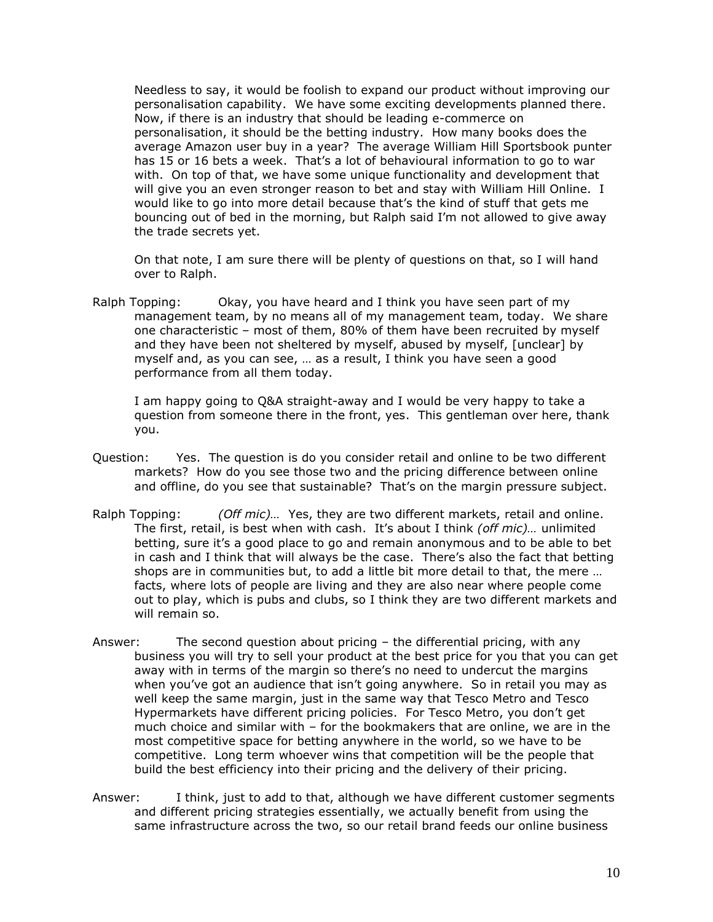Needless to say, it would be foolish to expand our product without improving our personalisation capability. We have some exciting developments planned there. Now, if there is an industry that should be leading e-commerce on personalisation, it should be the betting industry. How many books does the average Amazon user buy in a year? The average William Hill Sportsbook punter has 15 or 16 bets a week. That's a lot of behavioural information to go to war with. On top of that, we have some unique functionality and development that will give you an even stronger reason to bet and stay with William Hill Online. I would like to go into more detail because that's the kind of stuff that gets me bouncing out of bed in the morning, but Ralph said I'm not allowed to give away the trade secrets yet.

On that note, I am sure there will be plenty of questions on that, so I will hand over to Ralph.

Ralph Topping: Okay, you have heard and I think you have seen part of my management team, by no means all of my management team, today. We share one characteristic – most of them, 80% of them have been recruited by myself and they have been not sheltered by myself, abused by myself, [unclear] by myself and, as you can see, … as a result, I think you have seen a good performance from all them today.

I am happy going to Q&A straight-away and I would be very happy to take a question from someone there in the front, yes. This gentleman over here, thank you.

- Question: Yes. The question is do you consider retail and online to be two different markets? How do you see those two and the pricing difference between online and offline, do you see that sustainable? That's on the margin pressure subject.
- Ralph Topping: *(Off mic)…* Yes, they are two different markets, retail and online. The first, retail, is best when with cash. It's about I think *(off mic)…* unlimited betting, sure it's a good place to go and remain anonymous and to be able to bet in cash and I think that will always be the case. There's also the fact that betting shops are in communities but, to add a little bit more detail to that, the mere … facts, where lots of people are living and they are also near where people come out to play, which is pubs and clubs, so I think they are two different markets and will remain so.
- Answer: The second question about pricing the differential pricing, with any business you will try to sell your product at the best price for you that you can get away with in terms of the margin so there's no need to undercut the margins when you've got an audience that isn't going anywhere. So in retail you may as well keep the same margin, just in the same way that Tesco Metro and Tesco Hypermarkets have different pricing policies. For Tesco Metro, you don't get much choice and similar with – for the bookmakers that are online, we are in the most competitive space for betting anywhere in the world, so we have to be competitive. Long term whoever wins that competition will be the people that build the best efficiency into their pricing and the delivery of their pricing.
- Answer: I think, just to add to that, although we have different customer segments and different pricing strategies essentially, we actually benefit from using the same infrastructure across the two, so our retail brand feeds our online business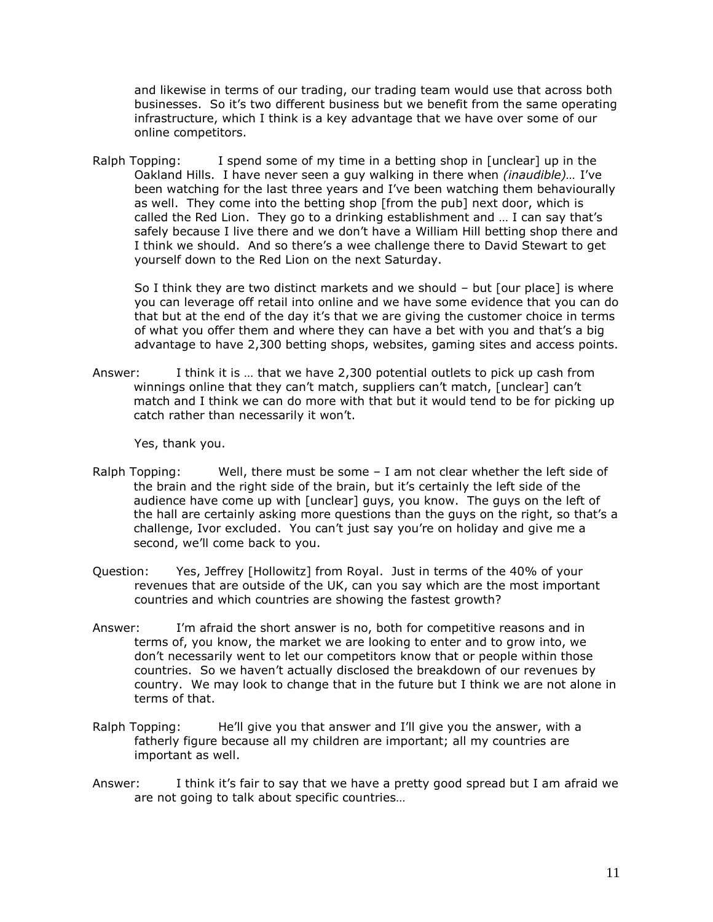and likewise in terms of our trading, our trading team would use that across both businesses. So it's two different business but we benefit from the same operating infrastructure, which I think is a key advantage that we have over some of our online competitors.

Ralph Topping: I spend some of my time in a betting shop in [unclear] up in the Oakland Hills. I have never seen a guy walking in there when *(inaudible)…* I've been watching for the last three years and I've been watching them behaviourally as well. They come into the betting shop [from the pub] next door, which is called the Red Lion. They go to a drinking establishment and … I can say that's safely because I live there and we don't have a William Hill betting shop there and I think we should. And so there's a wee challenge there to David Stewart to get yourself down to the Red Lion on the next Saturday.

So I think they are two distinct markets and we should – but [our place] is where you can leverage off retail into online and we have some evidence that you can do that but at the end of the day it's that we are giving the customer choice in terms of what you offer them and where they can have a bet with you and that's a big advantage to have 2,300 betting shops, websites, gaming sites and access points.

Answer: I think it is … that we have 2,300 potential outlets to pick up cash from winnings online that they can't match, suppliers can't match, [unclear] can't match and I think we can do more with that but it would tend to be for picking up catch rather than necessarily it won't.

Yes, thank you.

- Ralph Topping: Well, there must be some  $-$  I am not clear whether the left side of the brain and the right side of the brain, but it's certainly the left side of the audience have come up with [unclear] guys, you know. The guys on the left of the hall are certainly asking more questions than the guys on the right, so that's a challenge, Ivor excluded. You can't just say you're on holiday and give me a second, we'll come back to you.
- Question: Yes, Jeffrey [Hollowitz] from Royal. Just in terms of the 40% of your revenues that are outside of the UK, can you say which are the most important countries and which countries are showing the fastest growth?
- Answer: I'm afraid the short answer is no, both for competitive reasons and in terms of, you know, the market we are looking to enter and to grow into, we don't necessarily went to let our competitors know that or people within those countries. So we haven't actually disclosed the breakdown of our revenues by country. We may look to change that in the future but I think we are not alone in terms of that.
- Ralph Topping: He'll give you that answer and I'll give you the answer, with a fatherly figure because all my children are important; all my countries are important as well.
- Answer: I think it's fair to say that we have a pretty good spread but I am afraid we are not going to talk about specific countries…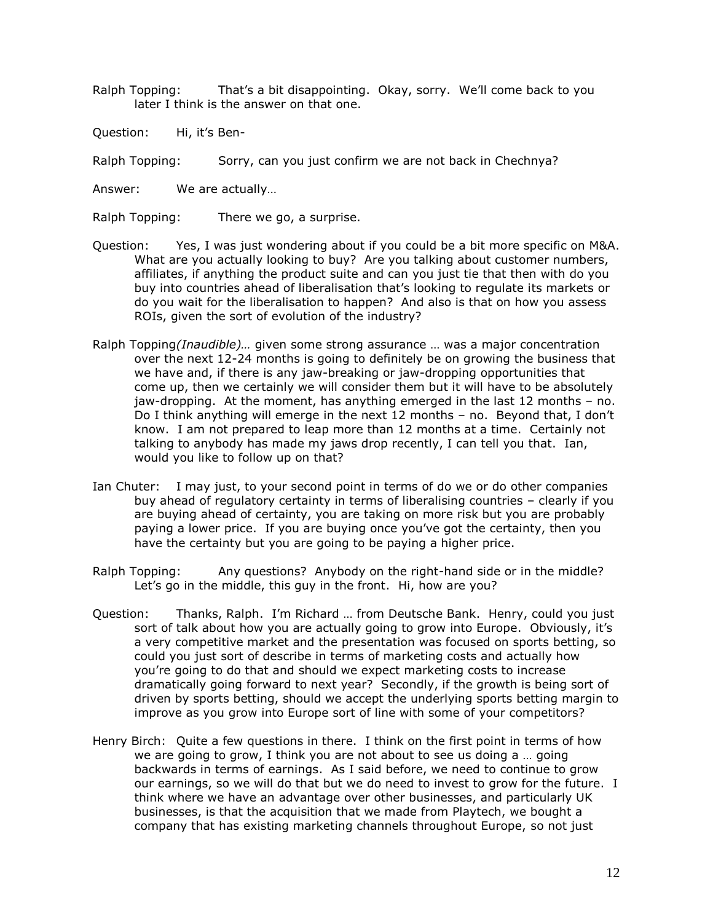- Ralph Topping: That's a bit disappointing. Okay, sorry. We'll come back to you later I think is the answer on that one.
- Question: Hi, it's Ben-
- Ralph Topping: Sorry, can you just confirm we are not back in Chechnya?
- Answer: We are actually…
- Ralph Topping: There we go, a surprise.
- Question: Yes, I was just wondering about if you could be a bit more specific on M&A. What are you actually looking to buy? Are you talking about customer numbers, affiliates, if anything the product suite and can you just tie that then with do you buy into countries ahead of liberalisation that's looking to regulate its markets or do you wait for the liberalisation to happen? And also is that on how you assess ROIs, given the sort of evolution of the industry?
- Ralph Topping*(Inaudible)…* given some strong assurance … was a major concentration over the next 12-24 months is going to definitely be on growing the business that we have and, if there is any jaw-breaking or jaw-dropping opportunities that come up, then we certainly we will consider them but it will have to be absolutely jaw-dropping. At the moment, has anything emerged in the last 12 months – no. Do I think anything will emerge in the next 12 months – no. Beyond that, I don't know. I am not prepared to leap more than 12 months at a time. Certainly not talking to anybody has made my jaws drop recently, I can tell you that. Ian, would you like to follow up on that?
- Ian Chuter: I may just, to your second point in terms of do we or do other companies buy ahead of regulatory certainty in terms of liberalising countries – clearly if you are buying ahead of certainty, you are taking on more risk but you are probably paying a lower price. If you are buying once you've got the certainty, then you have the certainty but you are going to be paying a higher price.
- Ralph Topping: Any questions? Anybody on the right-hand side or in the middle? Let's go in the middle, this guy in the front. Hi, how are you?
- Question: Thanks, Ralph. I'm Richard … from Deutsche Bank. Henry, could you just sort of talk about how you are actually going to grow into Europe. Obviously, it's a very competitive market and the presentation was focused on sports betting, so could you just sort of describe in terms of marketing costs and actually how you're going to do that and should we expect marketing costs to increase dramatically going forward to next year? Secondly, if the growth is being sort of driven by sports betting, should we accept the underlying sports betting margin to improve as you grow into Europe sort of line with some of your competitors?
- Henry Birch: Quite a few questions in there. I think on the first point in terms of how we are going to grow, I think you are not about to see us doing a … going backwards in terms of earnings. As I said before, we need to continue to grow our earnings, so we will do that but we do need to invest to grow for the future. I think where we have an advantage over other businesses, and particularly UK businesses, is that the acquisition that we made from Playtech, we bought a company that has existing marketing channels throughout Europe, so not just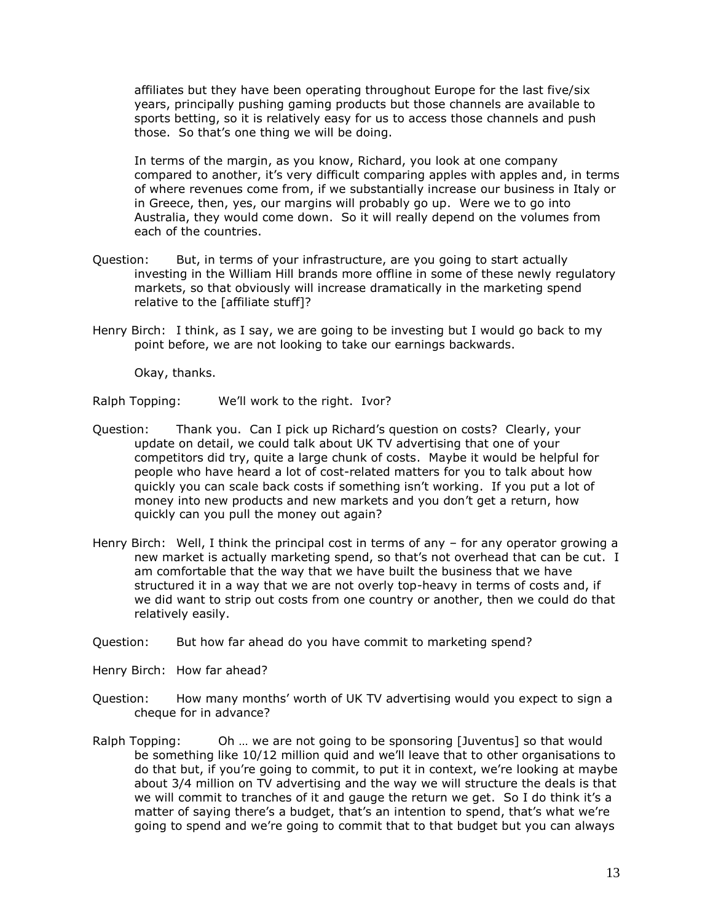affiliates but they have been operating throughout Europe for the last five/six years, principally pushing gaming products but those channels are available to sports betting, so it is relatively easy for us to access those channels and push those. So that's one thing we will be doing.

In terms of the margin, as you know, Richard, you look at one company compared to another, it's very difficult comparing apples with apples and, in terms of where revenues come from, if we substantially increase our business in Italy or in Greece, then, yes, our margins will probably go up. Were we to go into Australia, they would come down. So it will really depend on the volumes from each of the countries.

- Question: But, in terms of your infrastructure, are you going to start actually investing in the William Hill brands more offline in some of these newly regulatory markets, so that obviously will increase dramatically in the marketing spend relative to the [affiliate stuff]?
- Henry Birch: I think, as I say, we are going to be investing but I would go back to my point before, we are not looking to take our earnings backwards.

Okay, thanks.

- Ralph Topping: We'll work to the right. Ivor?
- Question: Thank you. Can I pick up Richard's question on costs? Clearly, your update on detail, we could talk about UK TV advertising that one of your competitors did try, quite a large chunk of costs. Maybe it would be helpful for people who have heard a lot of cost-related matters for you to talk about how quickly you can scale back costs if something isn't working. If you put a lot of money into new products and new markets and you don't get a return, how quickly can you pull the money out again?
- Henry Birch: Well, I think the principal cost in terms of any for any operator growing a new market is actually marketing spend, so that's not overhead that can be cut. I am comfortable that the way that we have built the business that we have structured it in a way that we are not overly top-heavy in terms of costs and, if we did want to strip out costs from one country or another, then we could do that relatively easily.
- Question: But how far ahead do you have commit to marketing spend?
- Henry Birch: How far ahead?
- Question: How many months' worth of UK TV advertising would you expect to sign a cheque for in advance?
- Ralph Topping: Oh … we are not going to be sponsoring [Juventus] so that would be something like 10/12 million quid and we'll leave that to other organisations to do that but, if you're going to commit, to put it in context, we're looking at maybe about 3/4 million on TV advertising and the way we will structure the deals is that we will commit to tranches of it and gauge the return we get. So I do think it's a matter of saying there's a budget, that's an intention to spend, that's what we're going to spend and we're going to commit that to that budget but you can always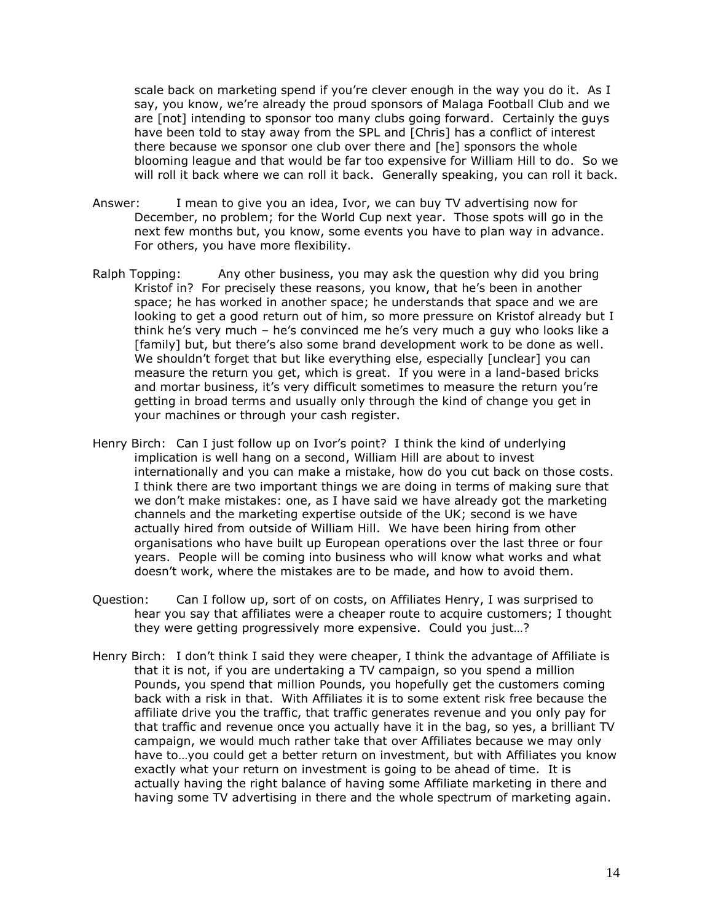scale back on marketing spend if you're clever enough in the way you do it. As I say, you know, we're already the proud sponsors of Malaga Football Club and we are [not] intending to sponsor too many clubs going forward. Certainly the guys have been told to stay away from the SPL and [Chris] has a conflict of interest there because we sponsor one club over there and [he] sponsors the whole blooming league and that would be far too expensive for William Hill to do. So we will roll it back where we can roll it back. Generally speaking, you can roll it back.

- Answer: I mean to give you an idea, Ivor, we can buy TV advertising now for December, no problem; for the World Cup next year. Those spots will go in the next few months but, you know, some events you have to plan way in advance. For others, you have more flexibility.
- Ralph Topping: Any other business, you may ask the question why did you bring Kristof in? For precisely these reasons, you know, that he's been in another space; he has worked in another space; he understands that space and we are looking to get a good return out of him, so more pressure on Kristof already but I think he's very much – he's convinced me he's very much a guy who looks like a [family] but, but there's also some brand development work to be done as well. We shouldn't forget that but like everything else, especially [unclear] you can measure the return you get, which is great. If you were in a land-based bricks and mortar business, it's very difficult sometimes to measure the return you're getting in broad terms and usually only through the kind of change you get in your machines or through your cash register.
- Henry Birch: Can I just follow up on Ivor's point? I think the kind of underlying implication is well hang on a second, William Hill are about to invest internationally and you can make a mistake, how do you cut back on those costs. I think there are two important things we are doing in terms of making sure that we don't make mistakes: one, as I have said we have already got the marketing channels and the marketing expertise outside of the UK; second is we have actually hired from outside of William Hill. We have been hiring from other organisations who have built up European operations over the last three or four years. People will be coming into business who will know what works and what doesn't work, where the mistakes are to be made, and how to avoid them.
- Question: Can I follow up, sort of on costs, on Affiliates Henry, I was surprised to hear you say that affiliates were a cheaper route to acquire customers; I thought they were getting progressively more expensive. Could you just…?
- Henry Birch: I don't think I said they were cheaper, I think the advantage of Affiliate is that it is not, if you are undertaking a TV campaign, so you spend a million Pounds, you spend that million Pounds, you hopefully get the customers coming back with a risk in that. With Affiliates it is to some extent risk free because the affiliate drive you the traffic, that traffic generates revenue and you only pay for that traffic and revenue once you actually have it in the bag, so yes, a brilliant TV campaign, we would much rather take that over Affiliates because we may only have to…you could get a better return on investment, but with Affiliates you know exactly what your return on investment is going to be ahead of time. It is actually having the right balance of having some Affiliate marketing in there and having some TV advertising in there and the whole spectrum of marketing again.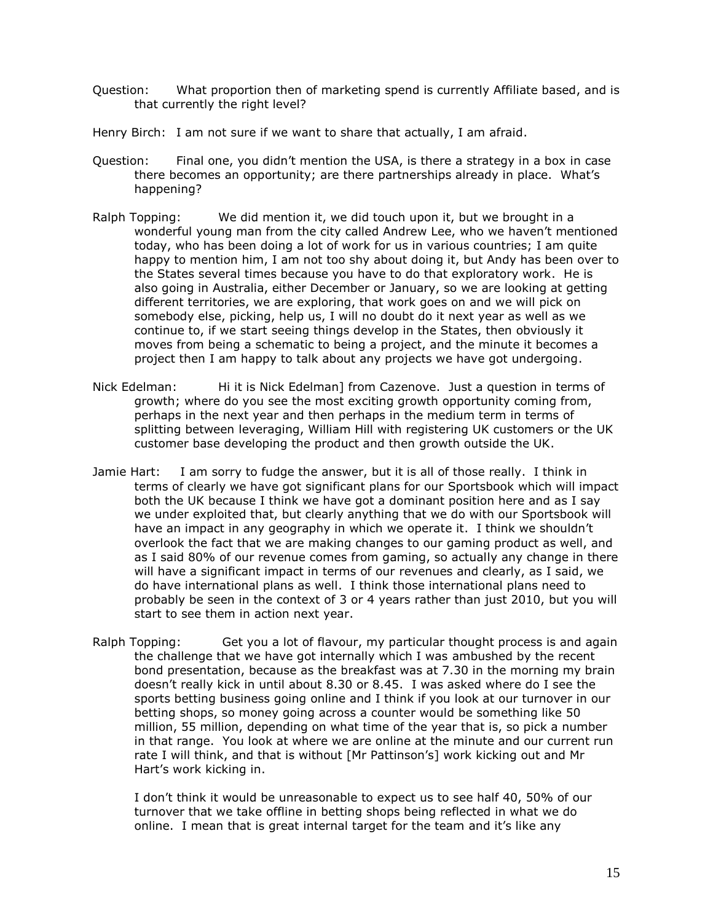- Question: What proportion then of marketing spend is currently Affiliate based, and is that currently the right level?
- Henry Birch: I am not sure if we want to share that actually, I am afraid.
- Question: Final one, you didn't mention the USA, is there a strategy in a box in case there becomes an opportunity; are there partnerships already in place. What's happening?
- Ralph Topping: We did mention it, we did touch upon it, but we brought in a wonderful young man from the city called Andrew Lee, who we haven't mentioned today, who has been doing a lot of work for us in various countries; I am quite happy to mention him, I am not too shy about doing it, but Andy has been over to the States several times because you have to do that exploratory work. He is also going in Australia, either December or January, so we are looking at getting different territories, we are exploring, that work goes on and we will pick on somebody else, picking, help us, I will no doubt do it next year as well as we continue to, if we start seeing things develop in the States, then obviously it moves from being a schematic to being a project, and the minute it becomes a project then I am happy to talk about any projects we have got undergoing.
- Nick Edelman: Hi it is Nick Edelman] from Cazenove. Just a question in terms of growth; where do you see the most exciting growth opportunity coming from, perhaps in the next year and then perhaps in the medium term in terms of splitting between leveraging, William Hill with registering UK customers or the UK customer base developing the product and then growth outside the UK.
- Jamie Hart: I am sorry to fudge the answer, but it is all of those really. I think in terms of clearly we have got significant plans for our Sportsbook which will impact both the UK because I think we have got a dominant position here and as I say we under exploited that, but clearly anything that we do with our Sportsbook will have an impact in any geography in which we operate it. I think we shouldn't overlook the fact that we are making changes to our gaming product as well, and as I said 80% of our revenue comes from gaming, so actually any change in there will have a significant impact in terms of our revenues and clearly, as I said, we do have international plans as well. I think those international plans need to probably be seen in the context of 3 or 4 years rather than just 2010, but you will start to see them in action next year.
- Ralph Topping: Get you a lot of flavour, my particular thought process is and again the challenge that we have got internally which I was ambushed by the recent bond presentation, because as the breakfast was at 7.30 in the morning my brain doesn't really kick in until about 8.30 or 8.45. I was asked where do I see the sports betting business going online and I think if you look at our turnover in our betting shops, so money going across a counter would be something like 50 million, 55 million, depending on what time of the year that is, so pick a number in that range. You look at where we are online at the minute and our current run rate I will think, and that is without [Mr Pattinson's] work kicking out and Mr Hart's work kicking in.

I don't think it would be unreasonable to expect us to see half 40, 50% of our turnover that we take offline in betting shops being reflected in what we do online. I mean that is great internal target for the team and it's like any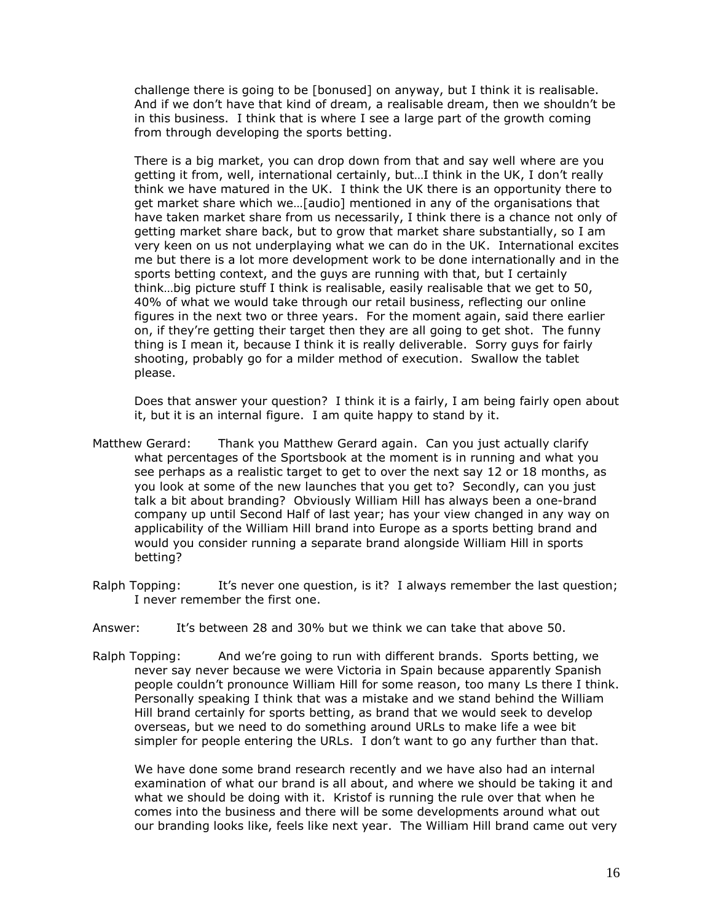challenge there is going to be [bonused] on anyway, but I think it is realisable. And if we don't have that kind of dream, a realisable dream, then we shouldn't be in this business. I think that is where I see a large part of the growth coming from through developing the sports betting.

There is a big market, you can drop down from that and say well where are you getting it from, well, international certainly, but…I think in the UK, I don't really think we have matured in the UK. I think the UK there is an opportunity there to get market share which we…[audio] mentioned in any of the organisations that have taken market share from us necessarily, I think there is a chance not only of getting market share back, but to grow that market share substantially, so I am very keen on us not underplaying what we can do in the UK. International excites me but there is a lot more development work to be done internationally and in the sports betting context, and the guys are running with that, but I certainly think…big picture stuff I think is realisable, easily realisable that we get to 50, 40% of what we would take through our retail business, reflecting our online figures in the next two or three years. For the moment again, said there earlier on, if they're getting their target then they are all going to get shot. The funny thing is I mean it, because I think it is really deliverable. Sorry guys for fairly shooting, probably go for a milder method of execution. Swallow the tablet please.

Does that answer your question? I think it is a fairly, I am being fairly open about it, but it is an internal figure. I am quite happy to stand by it.

- Matthew Gerard: Thank you Matthew Gerard again. Can you just actually clarify what percentages of the Sportsbook at the moment is in running and what you see perhaps as a realistic target to get to over the next say 12 or 18 months, as you look at some of the new launches that you get to? Secondly, can you just talk a bit about branding? Obviously William Hill has always been a one-brand company up until Second Half of last year; has your view changed in any way on applicability of the William Hill brand into Europe as a sports betting brand and would you consider running a separate brand alongside William Hill in sports betting?
- Ralph Topping: It's never one question, is it? I always remember the last question; I never remember the first one.
- Answer: It's between 28 and 30% but we think we can take that above 50.
- Ralph Topping: And we're going to run with different brands. Sports betting, we never say never because we were Victoria in Spain because apparently Spanish people couldn't pronounce William Hill for some reason, too many Ls there I think. Personally speaking I think that was a mistake and we stand behind the William Hill brand certainly for sports betting, as brand that we would seek to develop overseas, but we need to do something around URLs to make life a wee bit simpler for people entering the URLs. I don't want to go any further than that.

We have done some brand research recently and we have also had an internal examination of what our brand is all about, and where we should be taking it and what we should be doing with it. Kristof is running the rule over that when he comes into the business and there will be some developments around what out our branding looks like, feels like next year. The William Hill brand came out very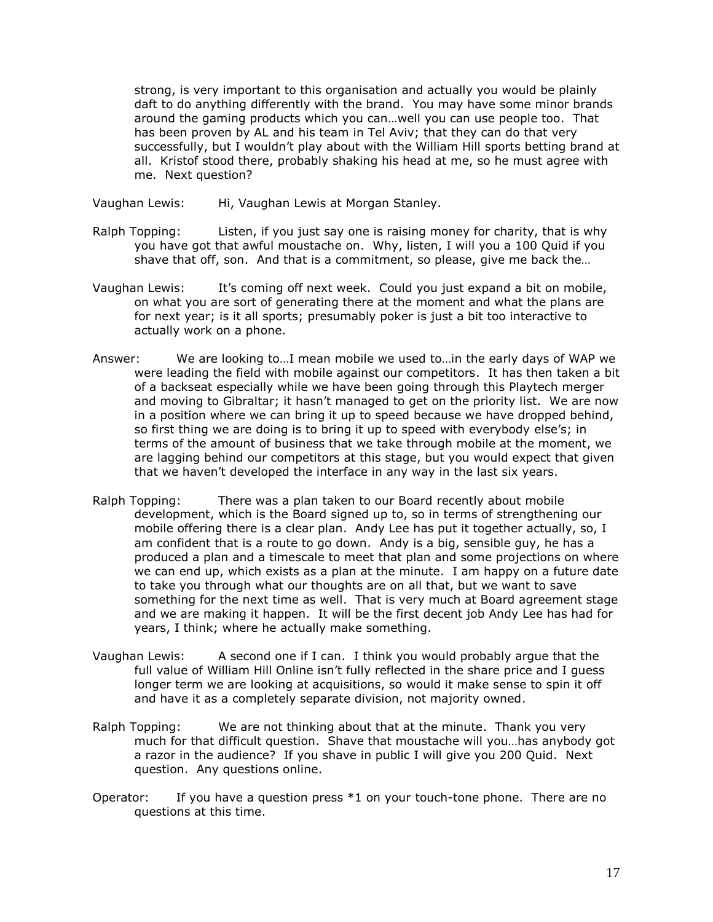strong, is very important to this organisation and actually you would be plainly daft to do anything differently with the brand. You may have some minor brands around the gaming products which you can…well you can use people too. That has been proven by AL and his team in Tel Aviv; that they can do that very successfully, but I wouldn't play about with the William Hill sports betting brand at all. Kristof stood there, probably shaking his head at me, so he must agree with me. Next question?

Vaughan Lewis: Hi, Vaughan Lewis at Morgan Stanley.

- Ralph Topping: Listen, if you just say one is raising money for charity, that is why you have got that awful moustache on. Why, listen, I will you a 100 Quid if you shave that off, son. And that is a commitment, so please, give me back the…
- Vaughan Lewis: It's coming off next week. Could you just expand a bit on mobile, on what you are sort of generating there at the moment and what the plans are for next year; is it all sports; presumably poker is just a bit too interactive to actually work on a phone.
- Answer: We are looking to…I mean mobile we used to…in the early days of WAP we were leading the field with mobile against our competitors. It has then taken a bit of a backseat especially while we have been going through this Playtech merger and moving to Gibraltar; it hasn't managed to get on the priority list. We are now in a position where we can bring it up to speed because we have dropped behind, so first thing we are doing is to bring it up to speed with everybody else's; in terms of the amount of business that we take through mobile at the moment, we are lagging behind our competitors at this stage, but you would expect that given that we haven't developed the interface in any way in the last six years.
- Ralph Topping: There was a plan taken to our Board recently about mobile development, which is the Board signed up to, so in terms of strengthening our mobile offering there is a clear plan. Andy Lee has put it together actually, so, I am confident that is a route to go down. Andy is a big, sensible guy, he has a produced a plan and a timescale to meet that plan and some projections on where we can end up, which exists as a plan at the minute. I am happy on a future date to take you through what our thoughts are on all that, but we want to save something for the next time as well. That is very much at Board agreement stage and we are making it happen. It will be the first decent job Andy Lee has had for years, I think; where he actually make something.
- Vaughan Lewis: A second one if I can. I think you would probably argue that the full value of William Hill Online isn't fully reflected in the share price and I guess longer term we are looking at acquisitions, so would it make sense to spin it off and have it as a completely separate division, not majority owned.
- Ralph Topping: We are not thinking about that at the minute. Thank you very much for that difficult question. Shave that moustache will you…has anybody got a razor in the audience? If you shave in public I will give you 200 Quid. Next question. Any questions online.
- Operator: If you have a question press  $*1$  on your touch-tone phone. There are no questions at this time.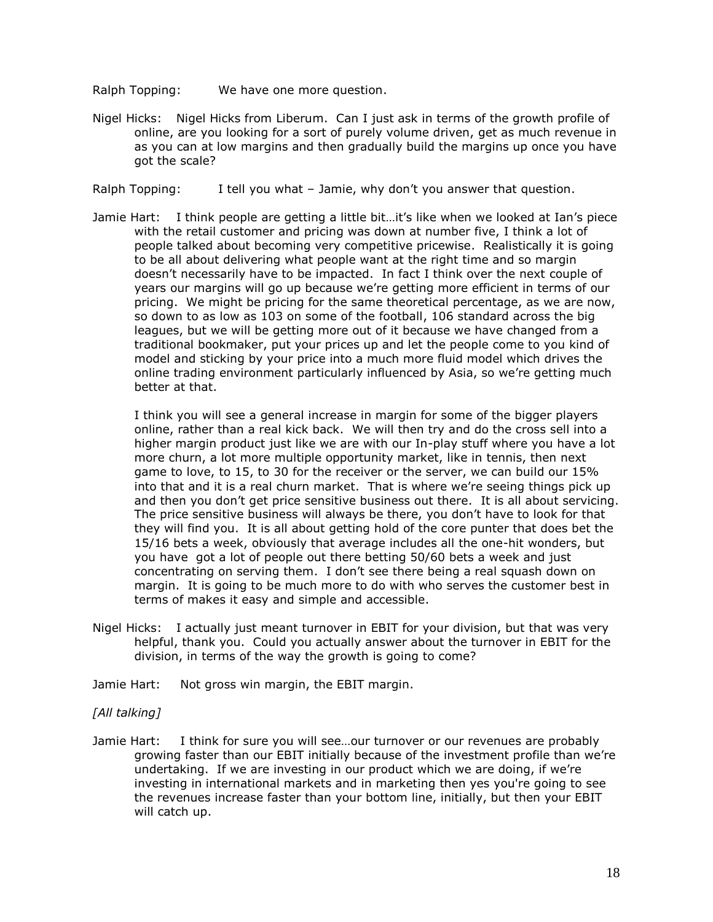Ralph Topping: We have one more question.

- Nigel Hicks: Nigel Hicks from Liberum. Can I just ask in terms of the growth profile of online, are you looking for a sort of purely volume driven, get as much revenue in as you can at low margins and then gradually build the margins up once you have got the scale?
- Ralph Topping: I tell you what Jamie, why don't you answer that question.
- Jamie Hart: I think people are getting a little bit…it's like when we looked at Ian's piece with the retail customer and pricing was down at number five, I think a lot of people talked about becoming very competitive pricewise. Realistically it is going to be all about delivering what people want at the right time and so margin doesn't necessarily have to be impacted. In fact I think over the next couple of years our margins will go up because we're getting more efficient in terms of our pricing. We might be pricing for the same theoretical percentage, as we are now, so down to as low as 103 on some of the football, 106 standard across the big leagues, but we will be getting more out of it because we have changed from a traditional bookmaker, put your prices up and let the people come to you kind of model and sticking by your price into a much more fluid model which drives the online trading environment particularly influenced by Asia, so we're getting much better at that.

I think you will see a general increase in margin for some of the bigger players online, rather than a real kick back. We will then try and do the cross sell into a higher margin product just like we are with our In-play stuff where you have a lot more churn, a lot more multiple opportunity market, like in tennis, then next game to love, to 15, to 30 for the receiver or the server, we can build our 15% into that and it is a real churn market. That is where we're seeing things pick up and then you don't get price sensitive business out there. It is all about servicing. The price sensitive business will always be there, you don't have to look for that they will find you. It is all about getting hold of the core punter that does bet the 15/16 bets a week, obviously that average includes all the one-hit wonders, but you have got a lot of people out there betting 50/60 bets a week and just concentrating on serving them. I don't see there being a real squash down on margin. It is going to be much more to do with who serves the customer best in terms of makes it easy and simple and accessible.

- Nigel Hicks: I actually just meant turnover in EBIT for your division, but that was very helpful, thank you. Could you actually answer about the turnover in EBIT for the division, in terms of the way the growth is going to come?
- Jamie Hart: Not gross win margin, the EBIT margin.

### *[All talking]*

Jamie Hart: I think for sure you will see…our turnover or our revenues are probably growing faster than our EBIT initially because of the investment profile than we're undertaking. If we are investing in our product which we are doing, if we're investing in international markets and in marketing then yes you're going to see the revenues increase faster than your bottom line, initially, but then your EBIT will catch up.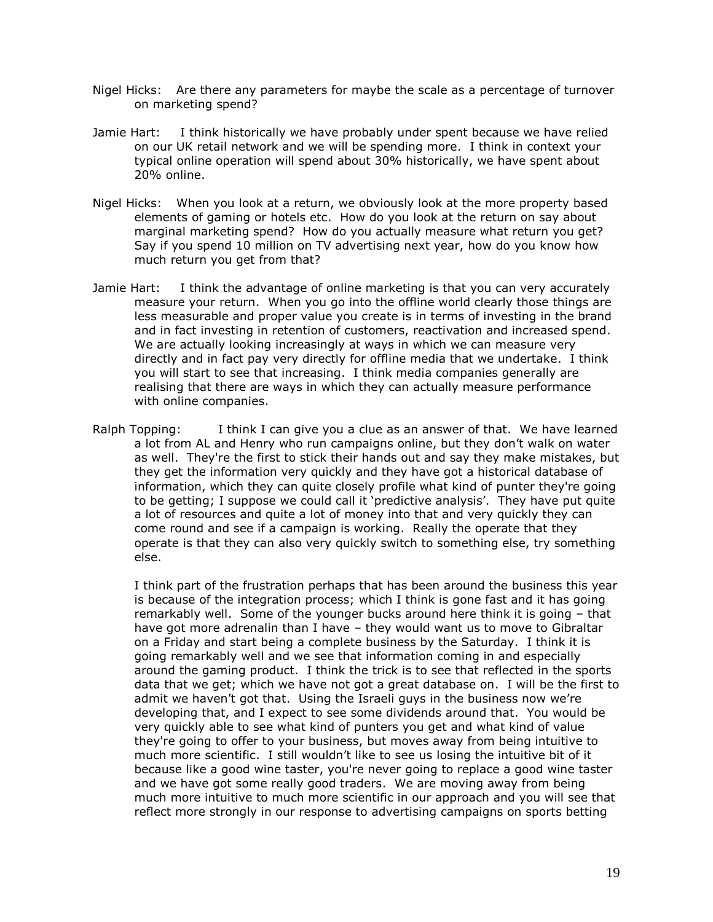- Nigel Hicks: Are there any parameters for maybe the scale as a percentage of turnover on marketing spend?
- Jamie Hart: I think historically we have probably under spent because we have relied on our UK retail network and we will be spending more. I think in context your typical online operation will spend about 30% historically, we have spent about 20% online.
- Nigel Hicks: When you look at a return, we obviously look at the more property based elements of gaming or hotels etc. How do you look at the return on say about marginal marketing spend? How do you actually measure what return you get? Say if you spend 10 million on TV advertising next year, how do you know how much return you get from that?
- Jamie Hart: I think the advantage of online marketing is that you can very accurately measure your return. When you go into the offline world clearly those things are less measurable and proper value you create is in terms of investing in the brand and in fact investing in retention of customers, reactivation and increased spend. We are actually looking increasingly at ways in which we can measure very directly and in fact pay very directly for offline media that we undertake. I think you will start to see that increasing. I think media companies generally are realising that there are ways in which they can actually measure performance with online companies.
- Ralph Topping: I think I can give you a clue as an answer of that. We have learned a lot from AL and Henry who run campaigns online, but they don't walk on water as well. They're the first to stick their hands out and say they make mistakes, but they get the information very quickly and they have got a historical database of information, which they can quite closely profile what kind of punter they're going to be getting; I suppose we could call it 'predictive analysis'. They have put quite a lot of resources and quite a lot of money into that and very quickly they can come round and see if a campaign is working. Really the operate that they operate is that they can also very quickly switch to something else, try something else.

I think part of the frustration perhaps that has been around the business this year is because of the integration process; which I think is gone fast and it has going remarkably well. Some of the younger bucks around here think it is going – that have got more adrenalin than I have – they would want us to move to Gibraltar on a Friday and start being a complete business by the Saturday. I think it is going remarkably well and we see that information coming in and especially around the gaming product. I think the trick is to see that reflected in the sports data that we get; which we have not got a great database on. I will be the first to admit we haven't got that. Using the Israeli guys in the business now we're developing that, and I expect to see some dividends around that. You would be very quickly able to see what kind of punters you get and what kind of value they're going to offer to your business, but moves away from being intuitive to much more scientific. I still wouldn't like to see us losing the intuitive bit of it because like a good wine taster, you're never going to replace a good wine taster and we have got some really good traders. We are moving away from being much more intuitive to much more scientific in our approach and you will see that reflect more strongly in our response to advertising campaigns on sports betting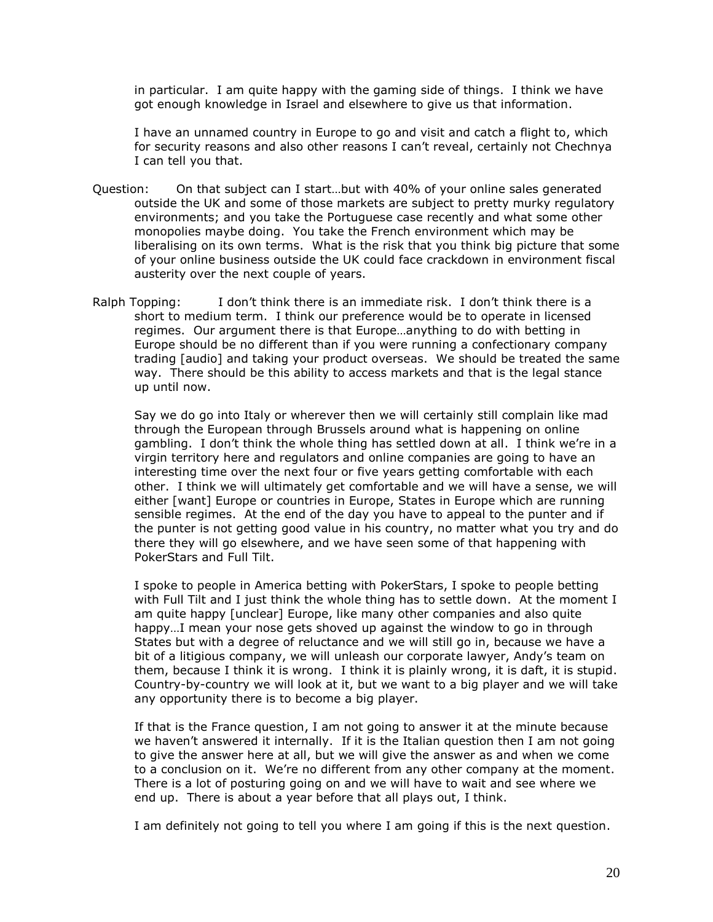in particular. I am quite happy with the gaming side of things. I think we have got enough knowledge in Israel and elsewhere to give us that information.

I have an unnamed country in Europe to go and visit and catch a flight to, which for security reasons and also other reasons I can't reveal, certainly not Chechnya I can tell you that.

- Question: On that subject can I start…but with 40% of your online sales generated outside the UK and some of those markets are subject to pretty murky regulatory environments; and you take the Portuguese case recently and what some other monopolies maybe doing. You take the French environment which may be liberalising on its own terms. What is the risk that you think big picture that some of your online business outside the UK could face crackdown in environment fiscal austerity over the next couple of years.
- Ralph Topping: I don't think there is an immediate risk. I don't think there is a short to medium term. I think our preference would be to operate in licensed regimes. Our argument there is that Europe…anything to do with betting in Europe should be no different than if you were running a confectionary company trading [audio] and taking your product overseas. We should be treated the same way. There should be this ability to access markets and that is the legal stance up until now.

Say we do go into Italy or wherever then we will certainly still complain like mad through the European through Brussels around what is happening on online gambling. I don't think the whole thing has settled down at all. I think we're in a virgin territory here and regulators and online companies are going to have an interesting time over the next four or five years getting comfortable with each other. I think we will ultimately get comfortable and we will have a sense, we will either [want] Europe or countries in Europe, States in Europe which are running sensible regimes. At the end of the day you have to appeal to the punter and if the punter is not getting good value in his country, no matter what you try and do there they will go elsewhere, and we have seen some of that happening with PokerStars and Full Tilt.

I spoke to people in America betting with PokerStars, I spoke to people betting with Full Tilt and I just think the whole thing has to settle down. At the moment I am quite happy [unclear] Europe, like many other companies and also quite happy…I mean your nose gets shoved up against the window to go in through States but with a degree of reluctance and we will still go in, because we have a bit of a litigious company, we will unleash our corporate lawyer, Andy's team on them, because I think it is wrong. I think it is plainly wrong, it is daft, it is stupid. Country-by-country we will look at it, but we want to a big player and we will take any opportunity there is to become a big player.

If that is the France question, I am not going to answer it at the minute because we haven't answered it internally. If it is the Italian question then I am not going to give the answer here at all, but we will give the answer as and when we come to a conclusion on it. We're no different from any other company at the moment. There is a lot of posturing going on and we will have to wait and see where we end up. There is about a year before that all plays out, I think.

I am definitely not going to tell you where I am going if this is the next question.